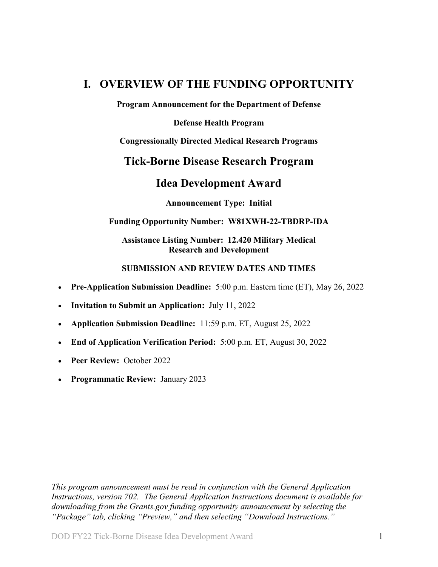## <span id="page-0-0"></span>**I. OVERVIEW OF THE FUNDING OPPORTUNITY**

**Program Announcement for the Department of Defense**

**Defense Health Program**

**Congressionally Directed Medical Research Programs**

## **Tick-Borne Disease Research Program**

## **Idea Development Award**

**Announcement Type: Initial** 

#### **Funding Opportunity Number: W81XWH-22-TBDRP-IDA**

## **Assistance Listing Number: 12.420 Military Medical Research and Development**

#### **SUBMISSION AND REVIEW DATES AND TIMES**

- <span id="page-0-1"></span>• **Pre-Application Submission Deadline:** 5:00 p.m. Eastern time (ET), May 26, 2022
- **Invitation to Submit an Application:** July 11, 2022
- **Application Submission Deadline:** 11:59 p.m. ET, August 25, 2022
- **End of Application Verification Period:** 5:00 p.m. ET, August 30, 2022
- Peer Review: October 2022
- **Programmatic Review:** January 2023

*This program announcement must be read in conjunction with the General Application Instructions, version 702. The General Application Instructions document is available for downloading from the Grants.gov funding opportunity announcement by selecting the "Package" tab, clicking "Preview," and then selecting "Download Instructions."*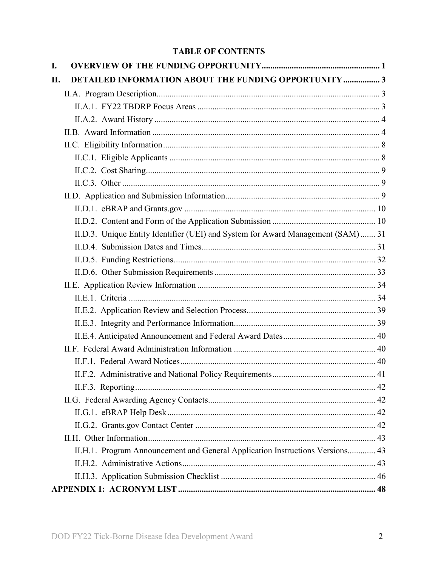## **TABLE OF CONTENTS**

| I.  |                                                                                  |  |
|-----|----------------------------------------------------------------------------------|--|
| II. | <b>DETAILED INFORMATION ABOUT THE FUNDING OPPORTUNITY  3</b>                     |  |
|     |                                                                                  |  |
|     |                                                                                  |  |
|     |                                                                                  |  |
|     |                                                                                  |  |
|     |                                                                                  |  |
|     |                                                                                  |  |
|     |                                                                                  |  |
|     |                                                                                  |  |
|     |                                                                                  |  |
|     |                                                                                  |  |
|     |                                                                                  |  |
|     | II.D.3. Unique Entity Identifier (UEI) and System for Award Management (SAM)  31 |  |
|     |                                                                                  |  |
|     |                                                                                  |  |
|     |                                                                                  |  |
|     |                                                                                  |  |
|     |                                                                                  |  |
|     |                                                                                  |  |
|     |                                                                                  |  |
|     |                                                                                  |  |
|     |                                                                                  |  |
|     |                                                                                  |  |
|     |                                                                                  |  |
|     |                                                                                  |  |
|     |                                                                                  |  |
|     |                                                                                  |  |
|     |                                                                                  |  |
|     |                                                                                  |  |
|     | II.H.1. Program Announcement and General Application Instructions Versions 43    |  |
|     |                                                                                  |  |
|     |                                                                                  |  |
|     |                                                                                  |  |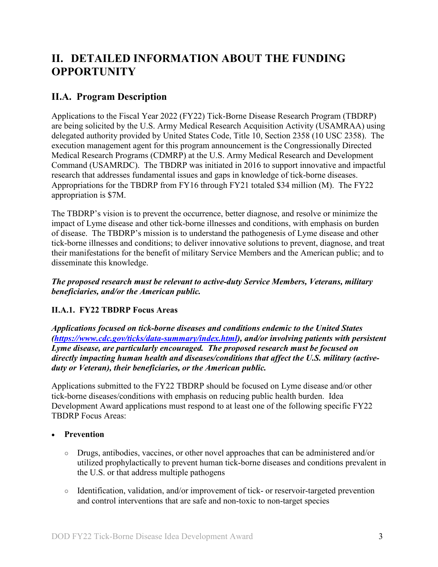# <span id="page-2-0"></span>**II. DETAILED INFORMATION ABOUT THE FUNDING OPPORTUNITY**

## <span id="page-2-1"></span>**II.A. Program Description**

Applications to the Fiscal Year 2022 (FY22) Tick-Borne Disease Research Program (TBDRP) are being solicited by the U.S. Army Medical Research Acquisition Activity (USAMRAA) using delegated authority provided by United States Code, Title 10, Section 2358 (10 USC 2358). The execution management agent for this program announcement is the Congressionally Directed Medical Research Programs (CDMRP) at the U.S. Army Medical Research and Development Command (USAMRDC). The TBDRP was initiated in 2016 to support innovative and impactful research that addresses fundamental issues and gaps in knowledge of tick-borne diseases. Appropriations for the TBDRP from FY16 through FY21 totaled \$34 million (M). The FY22 appropriation is \$7M.

The TBDRP's vision is to prevent the occurrence, better diagnose, and resolve or minimize the impact of Lyme disease and other tick-borne illnesses and conditions, with emphasis on burden of disease. The TBDRP's mission is to understand the pathogenesis of Lyme disease and other tick-borne illnesses and conditions; to deliver innovative solutions to prevent, diagnose, and treat their manifestations for the benefit of military Service Members and the American public; and to disseminate this knowledge.

*The proposed research must be relevant to active-duty Service Members, Veterans, military beneficiaries, and/or the American public.*

## <span id="page-2-3"></span><span id="page-2-2"></span>**II.A.1. FY22 TBDRP Focus Areas**

*Applications focused on tick-borne diseases and conditions endemic to the United States [\(https://www.cdc.gov/ticks/data-summary/index.html\)](https://www.cdc.gov/ticks/data-summary/index.html), and/or involving patients with persistent Lyme disease, are particularly encouraged. The proposed research must be focused on directly impacting human health and diseases/conditions that affect the U.S. military (activeduty or Veteran), their beneficiaries, or the American public.* 

Applications submitted to the FY22 TBDRP should be focused on Lyme disease and/or other tick-borne diseases/conditions with emphasis on reducing public health burden. Idea Development Award applications must respond to at least one of the following specific FY22 TBDRP Focus Areas:

## • **Prevention**

- Drugs, antibodies, vaccines, or other novel approaches that can be administered and/or utilized prophylactically to prevent human tick-borne diseases and conditions prevalent in the U.S. or that address multiple pathogens
- Identification, validation, and/or improvement of tick- or reservoir-targeted prevention and control interventions that are safe and non-toxic to non-target species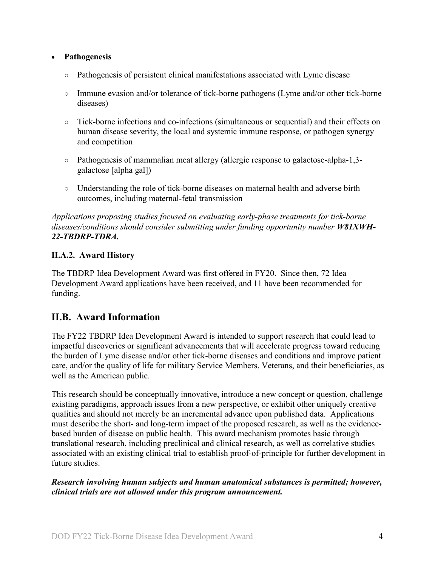## • **Pathogenesis**

- Pathogenesis of persistent clinical manifestations associated with Lyme disease
- Immune evasion and/or tolerance of tick-borne pathogens (Lyme and/or other tick-borne diseases)
- Tick-borne infections and co-infections (simultaneous or sequential) and their effects on human disease severity, the local and systemic immune response, or pathogen synergy and competition
- Pathogenesis of mammalian meat allergy (allergic response to galactose-alpha-1,3 galactose [alpha gal])
- Understanding the role of tick-borne diseases on maternal health and adverse birth outcomes, including maternal-fetal transmission

*Applications proposing studies focused on evaluating early-phase treatments for tick-borne diseases/conditions should consider submitting under funding opportunity number W81XWH-22-TBDRP-TDRA.*

## <span id="page-3-0"></span>**II.A.2. Award History**

The TBDRP Idea Development Award was first offered in FY20. Since then, 72 Idea Development Award applications have been received, and 11 have been recommended for funding.

## <span id="page-3-1"></span>**II.B. Award Information**

The FY22 TBDRP Idea Development Award is intended to support research that could lead to impactful discoveries or significant advancements that will accelerate progress toward reducing the burden of Lyme disease and/or other tick-borne diseases and conditions and improve patient care, and/or the quality of life for military Service Members, Veterans, and their beneficiaries, as well as the American public.

This research should be conceptually innovative, introduce a new concept or question, challenge existing paradigms, approach issues from a new perspective, or exhibit other uniquely creative qualities and should not merely be an incremental advance upon published data. Applications must describe the short- and long-term impact of the proposed research, as well as the evidencebased burden of disease on public health. This award mechanism promotes basic through translational research, including preclinical and clinical research, as well as correlative studies associated with an existing clinical trial to establish proof-of-principle for further development in future studies.

## *Research involving human subjects and human anatomical substances is permitted; however, clinical trials are not allowed under this program announcement.*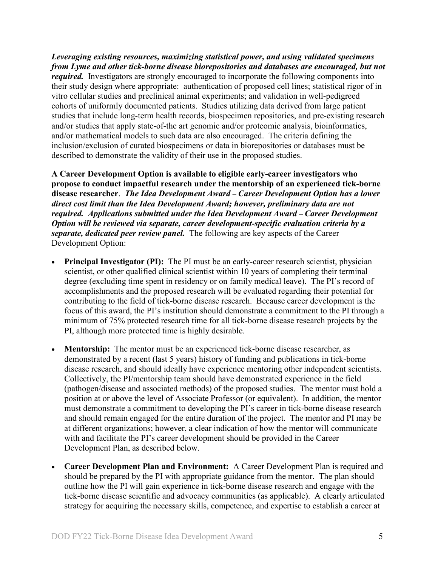*Leveraging existing resources, maximizing statistical power, and using validated specimens from Lyme and other tick-borne disease biorepositories and databases are encouraged, but not required.* Investigators are strongly encouraged to incorporate the following components into their study design where appropriate: authentication of proposed cell lines; statistical rigor of in vitro cellular studies and preclinical animal experiments; and validation in well-pedigreed cohorts of uniformly documented patients. Studies utilizing data derived from large patient studies that include long-term health records, biospecimen repositories, and pre-existing research and/or studies that apply state-of-the art genomic and/or proteomic analysis, bioinformatics, and/or mathematical models to such data are also encouraged. The criteria defining the inclusion/exclusion of curated biospecimens or data in biorepositories or databases must be described to demonstrate the validity of their use in the proposed studies.

**A Career Development Option is available to eligible early-career investigators who propose to conduct impactful research under the mentorship of an experienced tick-borne disease researcher**. *The Idea Development Award* – *Career Development Option has a lower direct cost limit than the Idea Development Award; however, preliminary data are not required. Applications submitted under the Idea Development Award – Career Development Option will be reviewed via separate, career development-specific evaluation criteria by a separate, dedicated peer review panel.* The following are key aspects of the Career Development Option:

- **Principal Investigator (PI):** The PI must be an early-career research scientist, physician scientist, or other qualified clinical scientist within 10 years of completing their terminal degree (excluding time spent in residency or on family medical leave). The PI's record of accomplishments and the proposed research will be evaluated regarding their potential for contributing to the field of tick-borne disease research. Because career development is the focus of this award, the PI's institution should demonstrate a commitment to the PI through a minimum of 75% protected research time for all tick-borne disease research projects by the PI, although more protected time is highly desirable.
- **Mentorship:** The mentor must be an experienced tick-borne disease researcher, as demonstrated by a recent (last 5 years) history of funding and publications in tick-borne disease research, and should ideally have experience mentoring other independent scientists. Collectively, the PI/mentorship team should have demonstrated experience in the field (pathogen/disease and associated methods) of the proposed studies. The mentor must hold a position at or above the level of Associate Professor (or equivalent). In addition, the mentor must demonstrate a commitment to developing the PI's career in tick-borne disease research and should remain engaged for the entire duration of the project. The mentor and PI may be at different organizations; however, a clear indication of how the mentor will communicate with and facilitate the PI's career development should be provided in the Career Development Plan, as described below.
- **Career Development Plan and Environment:** A Career Development Plan is required and should be prepared by the PI with appropriate guidance from the mentor. The plan should outline how the PI will gain experience in tick-borne disease research and engage with the tick-borne disease scientific and advocacy communities (as applicable). A clearly articulated strategy for acquiring the necessary skills, competence, and expertise to establish a career at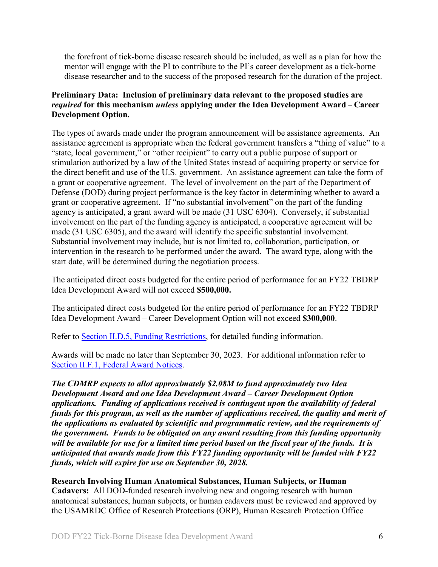the forefront of tick-borne disease research should be included, as well as a plan for how the mentor will engage with the PI to contribute to the PI's career development as a tick-borne disease researcher and to the success of the proposed research for the duration of the project.

## **Preliminary Data: Inclusion of preliminary data relevant to the proposed studies are**  *required* **for this mechanism** *unless* **applying under the Idea Development Award** – **Career Development Option.**

The types of awards made under the program announcement will be assistance agreements. An assistance agreement is appropriate when the federal government transfers a "thing of value" to a "state, local government," or "other recipient" to carry out a public purpose of support or stimulation authorized by a law of the United States instead of acquiring property or service for the direct benefit and use of the U.S. government. An assistance agreement can take the form of a grant or cooperative agreement. The level of involvement on the part of the Department of Defense (DOD) during project performance is the key factor in determining whether to award a grant or cooperative agreement. If "no substantial involvement" on the part of the funding agency is anticipated, a grant award will be made (31 USC 6304). Conversely, if substantial involvement on the part of the funding agency is anticipated, a cooperative agreement will be made (31 USC 6305), and the award will identify the specific substantial involvement. Substantial involvement may include, but is not limited to, collaboration, participation, or intervention in the research to be performed under the award. The award type, along with the start date, will be determined during the negotiation process.

The anticipated direct costs budgeted for the entire period of performance for an FY22 TBDRP Idea Development Award will not exceed **\$500,000.**

The anticipated direct costs budgeted for the entire period of performance for an FY22 TBDRP Idea Development Award – Career Development Option will not exceed **\$300,000**.

Refer to Section [II.D.5, Funding Restrictions,](#page-31-0) for detailed funding information.

Awards will be made no later than September 30, 2023. For additional information refer to [Section II.F.1, Federal Award Notices.](#page-39-2)

*The CDMRP expects to allot approximately \$2.08M to fund approximately two Idea Development Award and one Idea Development Award – Career Development Option applications. Funding of applications received is contingent upon the availability of federal funds for this program, as well as the number of applications received, the quality and merit of the applications as evaluated by scientific and programmatic review, and the requirements of the government. Funds to be obligated on any award resulting from this funding opportunity will be available for use for a limited time period based on the fiscal year of the funds. It is anticipated that awards made from this FY22 funding opportunity will be funded with FY22 funds, which will expire for use on September 30, 2028.*

**Research Involving Human Anatomical Substances, Human Subjects, or Human Cadavers:** All DOD-funded research involving new and ongoing research with human anatomical substances, human subjects, or human cadavers must be reviewed and approved by the USAMRDC Office of Research Protections (ORP), Human Research Protection Office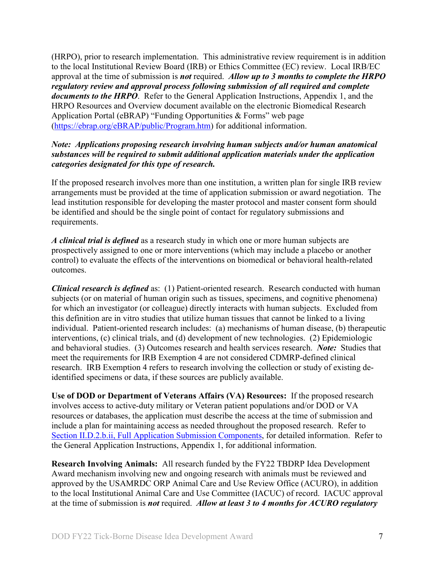(HRPO), prior to research implementation. This administrative review requirement is in addition to the local Institutional Review Board (IRB) or Ethics Committee (EC) review. Local IRB/EC approval at the time of submission is *not* required. *Allow up to 3 months to complete the HRPO regulatory review and approval process following submission of all required and complete documents to the HRPO*. Refer to the General Application Instructions, Appendix 1, and the HRPO Resources and Overview document available on the electronic Biomedical Research Application Portal (eBRAP) "Funding Opportunities & Forms" web page [\(https://ebrap.org/eBRAP/public/Program.htm\)](https://ebrap.org/eBRAP/public/Program.htm) for additional information.

## *Note: Applications proposing research involving human subjects and/or human anatomical substances will be required to submit additional application materials under the application categories designated for this type of research.*

If the proposed research involves more than one institution, a written plan for single IRB review arrangements must be provided at the time of application submission or award negotiation. The lead institution responsible for developing the master protocol and master consent form should be identified and should be the single point of contact for regulatory submissions and requirements.

*A clinical trial is defined* as a research study in which one or more human subjects are prospectively assigned to one or more interventions (which may include a placebo or another control) to evaluate the effects of the interventions on biomedical or behavioral health-related outcomes.

*Clinical research is defined* as: (1) Patient-oriented research. Research conducted with human subjects (or on material of human origin such as tissues, specimens, and cognitive phenomena) for which an investigator (or colleague) directly interacts with human subjects. Excluded from this definition are in vitro studies that utilize human tissues that cannot be linked to a living individual. Patient-oriented research includes: (a) mechanisms of human disease, (b) therapeutic interventions, (c) clinical trials, and (d) development of new technologies. (2) Epidemiologic and behavioral studies. (3) Outcomes research and health services research. *Note:* Studies that meet the requirements for IRB Exemption 4 are not considered CDMRP-defined clinical research. IRB Exemption 4 refers to research involving the collection or study of existing deidentified specimens or data, if these sources are publicly available.

**Use of DOD or Department of Veterans Affairs (VA) Resources:** If the proposed research involves access to active-duty military or Veteran patient populations and/or DOD or VA resources or databases, the application must describe the access at the time of submission and include a plan for maintaining access as needed throughout the proposed research. Refer to Section [II.D.2.b.ii, Full Application Submission Components,](#page-16-0) for detailed information. Refer to the General Application Instructions, Appendix 1, for additional information.

**Research Involving Animals:** All research funded by the FY22 TBDRP Idea Development Award mechanism involving new and ongoing research with animals must be reviewed and approved by the USAMRDC ORP Animal Care and Use Review Office (ACURO), in addition to the local Institutional Animal Care and Use Committee (IACUC) of record. IACUC approval at the time of submission is *not* required. *Allow at least 3 to 4 months for ACURO regulatory*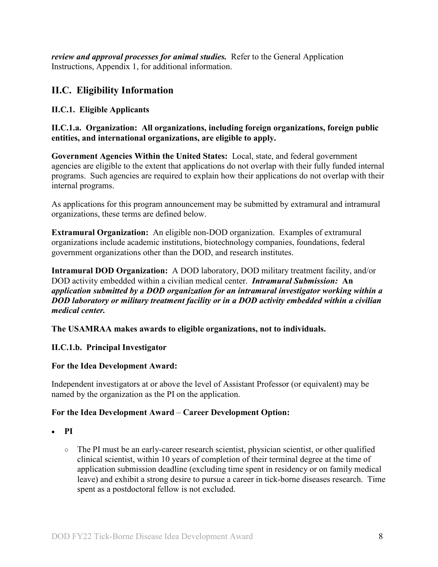*review and approval processes for animal studies.* Refer to the General Application Instructions, Appendix 1, for additional information.

## <span id="page-7-0"></span>**II.C. Eligibility Information**

## <span id="page-7-1"></span>**II.C.1. Eligible Applicants**

**II.C.1.a. Organization: All organizations, including foreign organizations, foreign public entities, and international organizations, are eligible to apply.** 

**Government Agencies Within the United States:** Local, state, and federal government agencies are eligible to the extent that applications do not overlap with their fully funded internal programs. Such agencies are required to explain how their applications do not overlap with their internal programs.

As applications for this program announcement may be submitted by extramural and intramural organizations, these terms are defined below.

**Extramural Organization:** An eligible non-DOD organization. Examples of extramural organizations include academic institutions, biotechnology companies, foundations, federal government organizations other than the DOD, and research institutes.

**Intramural DOD Organization:** A DOD laboratory, DOD military treatment facility, and/or DOD activity embedded within a civilian medical center. *Intramural Submission:* **An**  *application submitted by a DOD organization for an intramural investigator working within a DOD laboratory or military treatment facility or in a DOD activity embedded within a civilian medical center.*

**The USAMRAA makes awards to eligible organizations, not to individuals.**

## **II.C.1.b. Principal Investigator**

#### **For the Idea Development Award:**

Independent investigators at or above the level of Assistant Professor (or equivalent) may be named by the organization as the PI on the application.

## **For the Idea Development Award** – **Career Development Option:**

○ The PI must be an early-career research scientist, physician scientist, or other qualified clinical scientist, within 10 years of completion of their terminal degree at the time of application submission deadline (excluding time spent in residency or on family medical leave) and exhibit a strong desire to pursue a career in tick-borne diseases research. Time spent as a postdoctoral fellow is not excluded.

<sup>•</sup> **PI**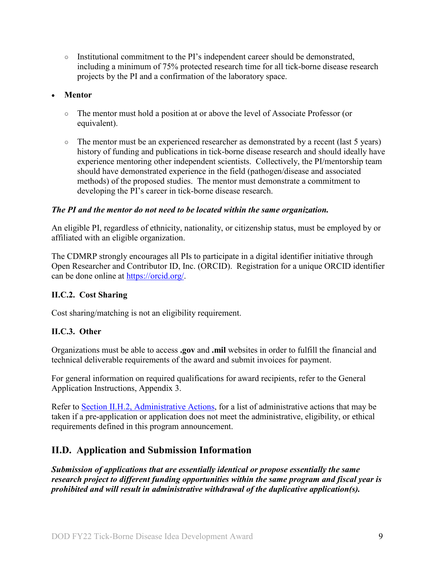○ Institutional commitment to the PI's independent career should be demonstrated, including a minimum of 75% protected research time for all tick-borne disease research projects by the PI and a confirmation of the laboratory space.

## • **Mentor**

- The mentor must hold a position at or above the level of Associate Professor (or equivalent).
- The mentor must be an experienced researcher as demonstrated by a recent (last 5 years) history of funding and publications in tick-borne disease research and should ideally have experience mentoring other independent scientists. Collectively, the PI/mentorship team should have demonstrated experience in the field (pathogen/disease and associated methods) of the proposed studies. The mentor must demonstrate a commitment to developing the PI's career in tick-borne disease research.

## *The PI and the mentor do not need to be located within the same organization.*

An eligible PI, regardless of ethnicity, nationality, or citizenship status, must be employed by or affiliated with an eligible organization.

The CDMRP strongly encourages all PIs to participate in a digital identifier initiative through Open Researcher and Contributor ID, Inc. (ORCID). Registration for a unique ORCID identifier can be done online at [https://orcid.org/.](https://orcid.org/)

## <span id="page-8-0"></span>**II.C.2. Cost Sharing**

Cost sharing/matching is not an eligibility requirement.

## <span id="page-8-1"></span>**II.C.3. Other**

Organizations must be able to access **.gov** and **.mil** websites in order to fulfill the financial and technical deliverable requirements of the award and submit invoices for payment.

For general information on required qualifications for award recipients, refer to the General Application Instructions, Appendix 3.

Refer to [Section II.H.2, Administrative Actions,](#page-42-2) for a list of administrative actions that may be taken if a pre-application or application does not meet the administrative, eligibility, or ethical requirements defined in this program announcement.

## <span id="page-8-2"></span>**II.D. Application and Submission Information**

*Submission of applications that are essentially identical or propose essentially the same research project to different funding opportunities within the same program and fiscal year is prohibited and will result in administrative withdrawal of the duplicative application(s).*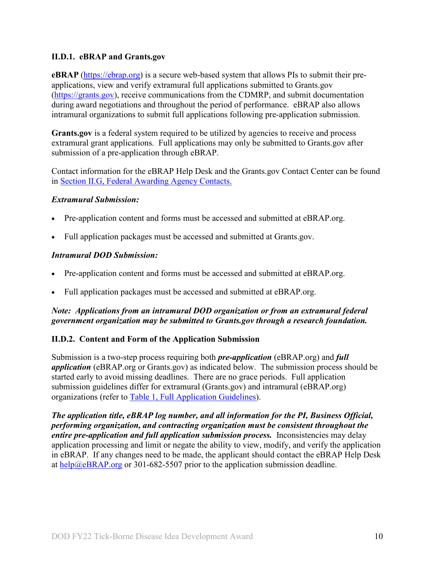## <span id="page-9-0"></span>**II.D.1. eBRAP and Grants.gov**

**eBRAP** [\(https://ebrap.org\)](https://ebrap.org/) is a secure web-based system that allows PIs to submit their preapplications, view and verify extramural full applications submitted to Grants.gov [\(https://grants.gov\)](https://grants.gov/), receive communications from the CDMRP, and submit documentation during award negotiations and throughout the period of performance. eBRAP also allows intramural organizations to submit full applications following pre-application submission.

Grants.gov is a federal system required to be utilized by agencies to receive and process extramural grant applications. Full applications may only be submitted to Grants.gov after submission of a pre-application through eBRAP.

Contact information for the eBRAP Help Desk and the Grants.gov Contact Center can be found in Section [II.G, Federal Awarding Agency Contacts.](#page-41-1)

## *Extramural Submission:*

- Pre-application content and forms must be accessed and submitted at eBRAP.org.
- Full application packages must be accessed and submitted at Grants.gov.

## *Intramural DOD Submission:*

- Pre-application content and forms must be accessed and submitted at eBRAP.org.
- Full application packages must be accessed and submitted at eBRAP.org.

## *Note: Applications from an intramural DOD organization or from an extramural federal government organization may be submitted to Grants.gov through a research foundation.*

## <span id="page-9-1"></span>**II.D.2. Content and Form of the Application Submission**

Submission is a two-step process requiring both *pre-application* (eBRAP.org) and *full application* (eBRAP.org or Grants.gov) as indicated below. The submission process should be started early to avoid missing deadlines. There are no grace periods. Full application submission guidelines differ for extramural (Grants.gov) and intramural (eBRAP.org) organizations (refer to [Table 1, Full Application Guidelines\)](#page-14-0).

*The application title, eBRAP log number, and all information for the PI, Business Official, performing organization, and contracting organization must be consistent throughout the entire pre-application and full application submission process.* Inconsistencies may delay application processing and limit or negate the ability to view, modify, and verify the application in eBRAP. If any changes need to be made, the applicant should contact the eBRAP Help Desk at [help@eBRAP.org](mailto:help@eBRAP.org) or 301-682-5507 prior to the application submission deadline.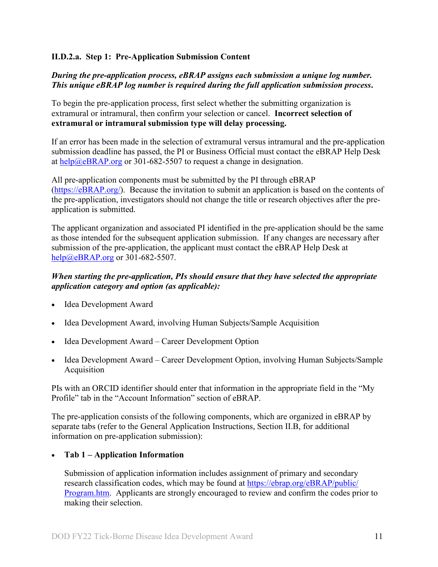### **II.D.2.a. Step 1: Pre-Application Submission Content**

## *During the pre-application process, eBRAP assigns each submission a unique log number. This unique eBRAP log number is required during the full application submission process***.**

To begin the pre-application process, first select whether the submitting organization is extramural or intramural, then confirm your selection or cancel. **Incorrect selection of extramural or intramural submission type will delay processing.**

If an error has been made in the selection of extramural versus intramural and the pre-application submission deadline has passed, the PI or Business Official must contact the eBRAP Help Desk at  $\frac{help@eBRAP.org}{0.0000}$  or 301-682-5507 to request a change in designation.

All pre-application components must be submitted by the PI through eBRAP [\(https://eBRAP.org/\)](https://ebrap.org/). Because the invitation to submit an application is based on the contents of the pre-application, investigators should not change the title or research objectives after the preapplication is submitted.

The applicant organization and associated PI identified in the pre-application should be the same as those intended for the subsequent application submission. If any changes are necessary after submission of the pre-application, the applicant must contact the eBRAP Help Desk at [help@eBRAP.org](mailto:help@eBRAP.org) or 301-682-5507.

#### *When starting the pre-application, PIs should ensure that they have selected the appropriate application category and option (as applicable):*

- Idea Development Award
- Idea Development Award, involving Human Subjects/Sample Acquisition
- Idea Development Award Career Development Option
- Idea Development Award Career Development Option, involving Human Subjects/Sample Acquisition

PIs with an ORCID identifier should enter that information in the appropriate field in the "My Profile" tab in the "Account Information" section of eBRAP.

The pre-application consists of the following components, which are organized in eBRAP by separate tabs (refer to the General Application Instructions, Section II.B, for additional information on pre-application submission):

## • **Tab 1 – Application Information**

Submission of application information includes assignment of primary and secondary research classification codes, which may be found at [https://ebrap.org/eBRAP/public/](https://ebrap.org/eBRAP/public/Program.htm) [Program.htm.](https://ebrap.org/eBRAP/public/Program.htm) Applicants are strongly encouraged to review and confirm the codes prior to making their selection.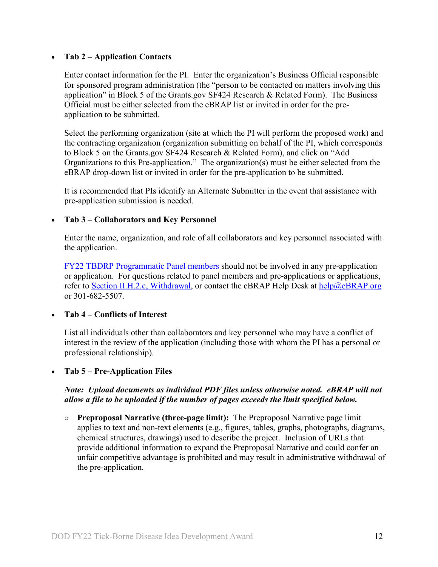#### • **Tab 2 – Application Contacts**

Enter contact information for the PI. Enter the organization's Business Official responsible for sponsored program administration (the "person to be contacted on matters involving this application" in Block 5 of the Grants.gov SF424 Research & Related Form). The Business Official must be either selected from the eBRAP list or invited in order for the preapplication to be submitted.

Select the performing organization (site at which the PI will perform the proposed work) and the contracting organization (organization submitting on behalf of the PI, which corresponds to Block 5 on the Grants.gov SF424 Research & Related Form), and click on "Add Organizations to this Pre-application." The organization(s) must be either selected from the eBRAP drop-down list or invited in order for the pre-application to be submitted.

It is recommended that PIs identify an Alternate Submitter in the event that assistance with pre-application submission is needed.

#### • **Tab 3 – Collaborators and Key Personnel**

Enter the name, organization, and role of all collaborators and key personnel associated with the application.

[FY22 TBDRP Programmatic Panel members](https://cdmrp.army.mil/tbdrp/panels/panels22) should not be involved in any pre-application or application. For questions related to panel members and pre-applications or applications, refer to Section [II.H.2.c, Withdrawal,](#page-43-0) or contact the eBRAP Help Desk at [help@eBRAP.org](mailto:help@eBRAP.org) or 301-682-5507.

## • **Tab 4 – Conflicts of Interest**

List all individuals other than collaborators and key personnel who may have a conflict of interest in the review of the application (including those with whom the PI has a personal or professional relationship).

#### • **Tab 5 – Pre-Application Files**

#### *Note: Upload documents as individual PDF files unless otherwise noted. eBRAP will not allow a file to be uploaded if the number of pages exceeds the limit specified below.*

**○ Preproposal Narrative (three-page limit):** The Preproposal Narrative page limit applies to text and non-text elements (e.g., figures, tables, graphs, photographs, diagrams, chemical structures, drawings) used to describe the project. Inclusion of URLs that provide additional information to expand the Preproposal Narrative and could confer an unfair competitive advantage is prohibited and may result in administrative withdrawal of the pre-application.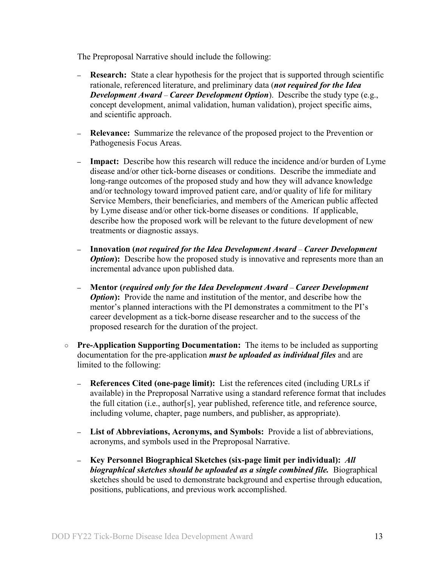The Preproposal Narrative should include the following:

- **– Research:** State a clear hypothesis for the project that is supported through scientific rationale, referenced literature, and preliminary data (*not required for the Idea Development Award* – *Career Development Option*). Describe the study type (e.g., concept development, animal validation, human validation), project specific aims, and scientific approach.
- **– Relevance:** Summarize the relevance of the proposed project to the Prevention or Pathogenesis Focus Areas.
- **– Impact:** Describe how this research will reduce the incidence and/or burden of Lyme disease and/or other tick-borne diseases or conditions. Describe the immediate and long-range outcomes of the proposed study and how they will advance knowledge and/or technology toward improved patient care, and/or quality of life for military Service Members, their beneficiaries, and members of the American public affected by Lyme disease and/or other tick-borne diseases or conditions. If applicable, describe how the proposed work will be relevant to the future development of new treatments or diagnostic assays.
- **– Innovation (***not required for the Idea Development Award Career Development Option*: Describe how the proposed study is innovative and represents more than an incremental advance upon published data.
- **– Mentor (***required only for the Idea Development Award Career Development Option*: Provide the name and institution of the mentor, and describe how the mentor's planned interactions with the PI demonstrates a commitment to the PI's career development as a tick-borne disease researcher and to the success of the proposed research for the duration of the project.
- **○ Pre-Application Supporting Documentation:** The items to be included as supporting documentation for the pre-application *must be uploaded as individual files* and are limited to the following:
	- **– References Cited (one-page limit):** List the references cited (including URLs if available) in the Preproposal Narrative using a standard reference format that includes the full citation (i.e., author[s], year published, reference title, and reference source, including volume, chapter, page numbers, and publisher, as appropriate).
	- **– List of Abbreviations, Acronyms, and Symbols:** Provide a list of abbreviations, acronyms, and symbols used in the Preproposal Narrative.
	- **– Key Personnel Biographical Sketches (six-page limit per individual):** *All biographical sketches should be uploaded as a single combined file.* Biographical sketches should be used to demonstrate background and expertise through education, positions, publications, and previous work accomplished.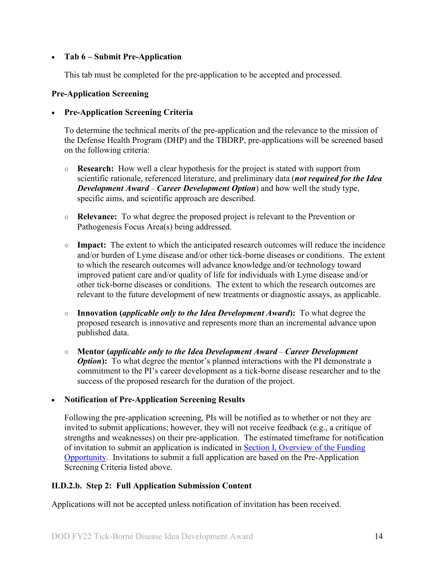## • **Tab 6 – Submit Pre-Application**

This tab must be completed for the pre-application to be accepted and processed.

#### **Pre-Application Screening**

#### • **Pre-Application Screening Criteria**

To determine the technical merits of the pre-application and the relevance to the mission of the Defense Health Program (DHP) and the TBDRP, pre-applications will be screened based on the following criteria:

- **Research:** How well a clear hypothesis for the project is stated with support from scientific rationale, referenced literature, and preliminary data (*not required for the Idea Development Award* – *Career Development Option*) and how well the study type, specific aims, and scientific approach are described.
- **Relevance:** To what degree the proposed project is relevant to the Prevention or Pathogenesis Focus Area(s) being addressed.
- **Impact:** The extent to which the anticipated research outcomes will reduce the incidence and/or burden of Lyme disease and/or other tick-borne diseases or conditions. The extent to which the research outcomes will advance knowledge and/or technology toward improved patient care and/or quality of life for individuals with Lyme disease and/or other tick-borne diseases or conditions. The extent to which the research outcomes are relevant to the future development of new treatments or diagnostic assays, as applicable.
- **Innovation (***applicable only to the Idea Development Award***):** To what degree the proposed research is innovative and represents more than an incremental advance upon published data.
- **Mentor (***applicable only to the Idea Development Award Career Development Option*): To what degree the mentor's planned interactions with the PI demonstrate a commitment to the PI's career development as a tick-borne disease researcher and to the success of the proposed research for the duration of the project.

## • **Notification of Pre-Application Screening Results**

Following the pre-application screening, PIs will be notified as to whether or not they are invited to submit applications; however, they will not receive feedback (e.g., a critique of strengths and weaknesses) on their pre-application. The estimated timeframe for notification of invitation to submit an application is indicated in Section [I, Overview of the Funding](#page-0-1)  [Opportunity.](#page-0-1) Invitations to submit a full application are based on the Pre-Application Screening Criteria listed above.

## **II.D.2.b. Step 2: Full Application Submission Content**

Applications will not be accepted unless notification of invitation has been received.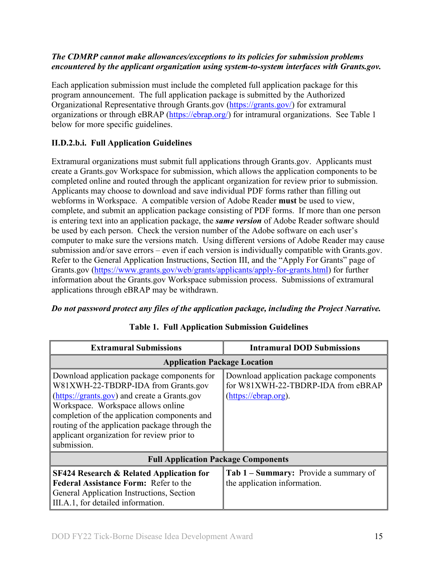## *The CDMRP cannot make allowances/exceptions to its policies for submission problems encountered by the applicant organization using system-to-system interfaces with Grants.gov.*

Each application submission must include the completed full application package for this program announcement. The full application package is submitted by the Authorized Organizational Representative through Grants.gov [\(https://grants.gov/\)](https://www.grants.gov/) for extramural organizations or through eBRAP [\(https://ebrap.org/\)](https://ebrap.org/) for intramural organizations. See Table 1 below for more specific guidelines.

## **II.D.2.b.i. Full Application Guidelines**

Extramural organizations must submit full applications through Grants.gov. Applicants must create a Grants.gov Workspace for submission, which allows the application components to be completed online and routed through the applicant organization for review prior to submission. Applicants may choose to download and save individual PDF forms rather than filling out webforms in Workspace. A compatible version of Adobe Reader **must** be used to view, complete, and submit an application package consisting of PDF forms. If more than one person is entering text into an application package, the *same version* of Adobe Reader software should be used by each person. Check the version number of the Adobe software on each user's computer to make sure the versions match. Using different versions of Adobe Reader may cause submission and/or save errors – even if each version is individually compatible with Grants.gov. Refer to the General Application Instructions, Section III, and the "Apply For Grants" page of Grants.gov [\(https://www.grants.gov/web/grants/applicants/apply-for-grants.html\)](https://www.grants.gov/web/grants/applicants/apply-for-grants.html) for further information about the Grants.gov Workspace submission process. Submissions of extramural applications through eBRAP may be withdrawn.

## <span id="page-14-0"></span>*Do not password protect any files of the application package, including the Project Narrative.*

| <b>Extramural Submissions</b>                                                                                                                                                                                                                                                                                                           | <b>Intramural DOD Submissions</b>                                                                     |  |  |
|-----------------------------------------------------------------------------------------------------------------------------------------------------------------------------------------------------------------------------------------------------------------------------------------------------------------------------------------|-------------------------------------------------------------------------------------------------------|--|--|
| <b>Application Package Location</b>                                                                                                                                                                                                                                                                                                     |                                                                                                       |  |  |
| Download application package components for<br>W81XWH-22-TBDRP-IDA from Grants.gov<br>(https://grants.gov) and create a Grants.gov<br>Workspace. Workspace allows online<br>completion of the application components and<br>routing of the application package through the<br>applicant organization for review prior to<br>submission. | Download application package components<br>for W81XWH-22-TBDRP-IDA from eBRAP<br>(https://ebrap.org). |  |  |
| <b>Full Application Package Components</b>                                                                                                                                                                                                                                                                                              |                                                                                                       |  |  |
| <b>SF424 Research &amp; Related Application for</b><br><b>Federal Assistance Form: Refer to the</b><br>General Application Instructions, Section<br>III.A.1, for detailed information.                                                                                                                                                  | Tab 1 – Summary: Provide a summary of<br>the application information.                                 |  |  |

## **Table 1. Full Application Submission Guidelines**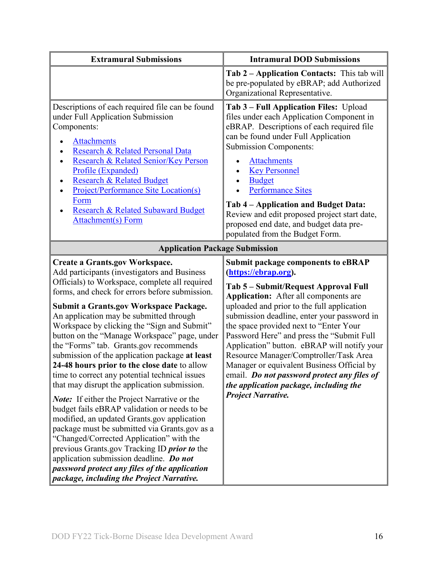| <b>Extramural Submissions</b>                                                                                                                                                                                                                                                                                                                                                                                                                                                                                                                                                                                                                                                                                                                                                                                                                                                                                                                                                                                                                                                         | <b>Intramural DOD Submissions</b>                                                                                                                                                                                                                                                                                                                                                                                                                                                                                                                                                                          |  |
|---------------------------------------------------------------------------------------------------------------------------------------------------------------------------------------------------------------------------------------------------------------------------------------------------------------------------------------------------------------------------------------------------------------------------------------------------------------------------------------------------------------------------------------------------------------------------------------------------------------------------------------------------------------------------------------------------------------------------------------------------------------------------------------------------------------------------------------------------------------------------------------------------------------------------------------------------------------------------------------------------------------------------------------------------------------------------------------|------------------------------------------------------------------------------------------------------------------------------------------------------------------------------------------------------------------------------------------------------------------------------------------------------------------------------------------------------------------------------------------------------------------------------------------------------------------------------------------------------------------------------------------------------------------------------------------------------------|--|
|                                                                                                                                                                                                                                                                                                                                                                                                                                                                                                                                                                                                                                                                                                                                                                                                                                                                                                                                                                                                                                                                                       | <b>Tab 2 – Application Contacts:</b> This tab will<br>be pre-populated by eBRAP; add Authorized<br>Organizational Representative.                                                                                                                                                                                                                                                                                                                                                                                                                                                                          |  |
| Descriptions of each required file can be found<br>under Full Application Submission<br>Components:<br><b>Attachments</b><br>Research & Related Personal Data<br>Research & Related Senior/Key Person<br>$\bullet$<br>Profile (Expanded)<br><b>Research &amp; Related Budget</b><br><b>Project/Performance Site Location(s)</b><br>Form<br>Research & Related Subaward Budget<br><b>Attachment(s)</b> Form                                                                                                                                                                                                                                                                                                                                                                                                                                                                                                                                                                                                                                                                            | Tab 3 – Full Application Files: Upload<br>files under each Application Component in<br>eBRAP. Descriptions of each required file<br>can be found under Full Application<br><b>Submission Components:</b><br><b>Attachments</b><br><b>Key Personnel</b><br><b>Budget</b><br><b>Performance Sites</b><br>Tab 4 – Application and Budget Data:<br>Review and edit proposed project start date,<br>proposed end date, and budget data pre-<br>populated from the Budget Form.                                                                                                                                  |  |
| <b>Application Package Submission</b>                                                                                                                                                                                                                                                                                                                                                                                                                                                                                                                                                                                                                                                                                                                                                                                                                                                                                                                                                                                                                                                 |                                                                                                                                                                                                                                                                                                                                                                                                                                                                                                                                                                                                            |  |
| <b>Create a Grants.gov Workspace.</b><br>Add participants (investigators and Business<br>Officials) to Workspace, complete all required<br>forms, and check for errors before submission.<br><b>Submit a Grants.gov Workspace Package.</b><br>An application may be submitted through<br>Workspace by clicking the "Sign and Submit"<br>button on the "Manage Workspace" page, under<br>the "Forms" tab. Grants.gov recommends<br>submission of the application package at least<br>24-48 hours prior to the close date to allow<br>time to correct any potential technical issues<br>that may disrupt the application submission.<br><b>Note:</b> If either the Project Narrative or the<br>budget fails eBRAP validation or needs to be<br>modified, an updated Grants.gov application<br>package must be submitted via Grants.gov as a<br>"Changed/Corrected Application" with the<br>previous Grants.gov Tracking ID <i>prior to</i> the<br>application submission deadline. Do not<br>password protect any files of the application<br>package, including the Project Narrative. | <b>Submit package components to eBRAP</b><br>(https://ebrap.org).<br>Tab 5 – Submit/Request Approval Full<br><b>Application:</b> After all components are<br>uploaded and prior to the full application<br>submission deadline, enter your password in<br>the space provided next to "Enter Your<br>Password Here" and press the "Submit Full<br>Application" button. eBRAP will notify your<br>Resource Manager/Comptroller/Task Area<br>Manager or equivalent Business Official by<br>email. Do not password protect any files of<br>the application package, including the<br><b>Project Narrative.</b> |  |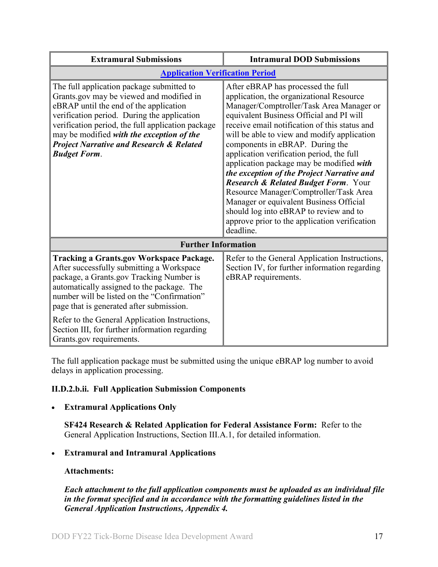| <b>Extramural Submissions</b>                                                                                                                                                                                                                                                                                                                                                                                     | <b>Intramural DOD Submissions</b>                                                                                                                                                                                                                                                                                                                                                                                                                                                                                                                                                                                                                                                                |
|-------------------------------------------------------------------------------------------------------------------------------------------------------------------------------------------------------------------------------------------------------------------------------------------------------------------------------------------------------------------------------------------------------------------|--------------------------------------------------------------------------------------------------------------------------------------------------------------------------------------------------------------------------------------------------------------------------------------------------------------------------------------------------------------------------------------------------------------------------------------------------------------------------------------------------------------------------------------------------------------------------------------------------------------------------------------------------------------------------------------------------|
| <b>Application Verification Period</b>                                                                                                                                                                                                                                                                                                                                                                            |                                                                                                                                                                                                                                                                                                                                                                                                                                                                                                                                                                                                                                                                                                  |
| The full application package submitted to<br>Grants.gov may be viewed and modified in<br>eBRAP until the end of the application<br>verification period. During the application<br>verification period, the full application package<br>may be modified with the exception of the<br><b>Project Narrative and Research &amp; Related</b><br><b>Budget Form.</b>                                                    | After eBRAP has processed the full<br>application, the organizational Resource<br>Manager/Comptroller/Task Area Manager or<br>equivalent Business Official and PI will<br>receive email notification of this status and<br>will be able to view and modify application<br>components in eBRAP. During the<br>application verification period, the full<br>application package may be modified with<br>the exception of the Project Narrative and<br><b>Research &amp; Related Budget Form. Your</b><br>Resource Manager/Comptroller/Task Area<br>Manager or equivalent Business Official<br>should log into eBRAP to review and to<br>approve prior to the application verification<br>deadline. |
| <b>Further Information</b>                                                                                                                                                                                                                                                                                                                                                                                        |                                                                                                                                                                                                                                                                                                                                                                                                                                                                                                                                                                                                                                                                                                  |
| <b>Tracking a Grants.gov Workspace Package.</b><br>After successfully submitting a Workspace<br>package, a Grants.gov Tracking Number is<br>automatically assigned to the package. The<br>number will be listed on the "Confirmation"<br>page that is generated after submission.<br>Refer to the General Application Instructions,<br>Section III, for further information regarding<br>Grants.gov requirements. | Refer to the General Application Instructions,<br>Section IV, for further information regarding<br>eBRAP requirements.                                                                                                                                                                                                                                                                                                                                                                                                                                                                                                                                                                           |

The full application package must be submitted using the unique eBRAP log number to avoid delays in application processing.

## <span id="page-16-0"></span>**II.D.2.b.ii. Full Application Submission Components**

## • **Extramural Applications Only**

**SF424 Research & Related Application for Federal Assistance Form:** Refer to the General Application Instructions, Section III.A.1, for detailed information.

## • **Extramural and Intramural Applications**

#### <span id="page-16-1"></span>**Attachments:**

*Each attachment to the full application components must be uploaded as an individual file in the format specified and in accordance with the formatting guidelines listed in the General Application Instructions, Appendix 4.*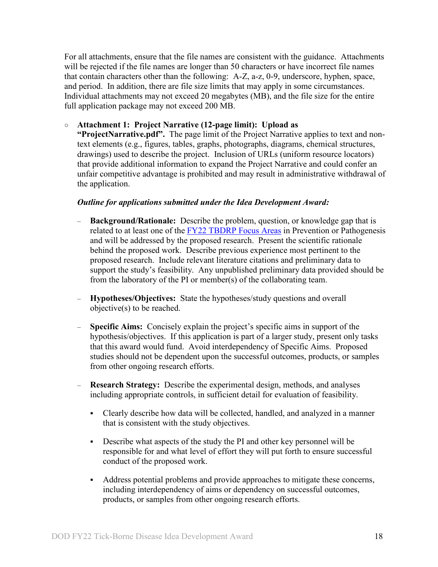For all attachments, ensure that the file names are consistent with the guidance. Attachments will be rejected if the file names are longer than 50 characters or have incorrect file names that contain characters other than the following: A-Z, a-z, 0-9, underscore, hyphen, space, and period. In addition, there are file size limits that may apply in some circumstances. Individual attachments may not exceed 20 megabytes (MB), and the file size for the entire full application package may not exceed 200 MB.

#### ○ **Attachment 1: Project Narrative (12-page limit): Upload as**

**"ProjectNarrative.pdf".** The page limit of the Project Narrative applies to text and nontext elements (e.g., figures, tables, graphs, photographs, diagrams, chemical structures, drawings) used to describe the project. Inclusion of URLs (uniform resource locators) that provide additional information to expand the Project Narrative and could confer an unfair competitive advantage is prohibited and may result in administrative withdrawal of the application.

#### *Outline for applications submitted under the Idea Development Award:*

- **Background/Rationale:** Describe the problem, question, or knowledge gap that is related to at least one of the **FY22 TBDRP** Focus Areas in Prevention or Pathogenesis and will be addressed by the proposed research. Present the scientific rationale behind the proposed work. Describe previous experience most pertinent to the proposed research. Include relevant literature citations and preliminary data to support the study's feasibility. Any unpublished preliminary data provided should be from the laboratory of the PI or member(s) of the collaborating team.
- **Hypotheses/Objectives:** State the hypotheses/study questions and overall objective(s) to be reached.
- **Specific Aims:** Concisely explain the project's specific aims in support of the hypothesis/objectives. If this application is part of a larger study, present only tasks that this award would fund. Avoid interdependency of Specific Aims. Proposed studies should not be dependent upon the successful outcomes, products, or samples from other ongoing research efforts.
- **Research Strategy:**Describe the experimental design, methods, and analyses including appropriate controls, in sufficient detail for evaluation of feasibility.
	- Clearly describe how data will be collected, handled, and analyzed in a manner that is consistent with the study objectives.
	- Describe what aspects of the study the PI and other key personnel will be responsible for and what level of effort they will put forth to ensure successful conduct of the proposed work.
	- Address potential problems and provide approaches to mitigate these concerns, including interdependency of aims or dependency on successful outcomes, products, or samples from other ongoing research efforts.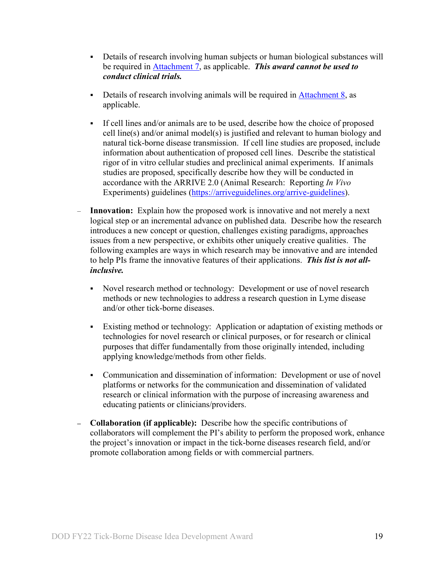- Details of research involving human subjects or human biological substances will be required in [Attachment 7,](#page-25-0) as applicable. *This award cannot be used to conduct clinical trials.*
- Details of research involving animals will be required in Attachment  $8$ , as applicable.
- If cell lines and/or animals are to be used, describe how the choice of proposed cell line(s) and/or animal model(s) is justified and relevant to human biology and natural tick-borne disease transmission. If cell line studies are proposed, include information about authentication of proposed cell lines. Describe the statistical rigor of in vitro cellular studies and preclinical animal experiments. If animals studies are proposed, specifically describe how they will be conducted in accordance with the ARRIVE 2.0 (Animal Research: Reporting *In Vivo* Experiments) guidelines [\(https://arriveguidelines.org/arrive-guidelines\)](https://arriveguidelines.org/arrive-guidelines).
- **Innovation:** Explain how the proposed work is innovative and not merely a next logical step or an incremental advance on published data. Describe how the research introduces a new concept or question, challenges existing paradigms, approaches issues from a new perspective, or exhibits other uniquely creative qualities. The following examples are ways in which research may be innovative and are intended to help PIs frame the innovative features of their applications. *This list is not allinclusive.*
	- Novel research method or technology: Development or use of novel research methods or new technologies to address a research question in Lyme disease and/or other tick-borne diseases.
	- Existing method or technology: Application or adaptation of existing methods or technologies for novel research or clinical purposes, or for research or clinical purposes that differ fundamentally from those originally intended, including applying knowledge/methods from other fields.
	- Communication and dissemination of information: Development or use of novel platforms or networks for the communication and dissemination of validated research or clinical information with the purpose of increasing awareness and educating patients or clinicians/providers.
- **– Collaboration (if applicable):** Describe how the specific contributions of collaborators will complement the PI's ability to perform the proposed work, enhance the project's innovation or impact in the tick-borne diseases research field, and/or promote collaboration among fields or with commercial partners.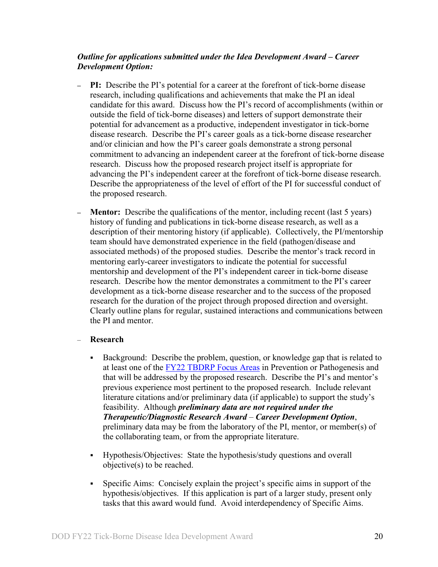#### *Outline for applications submitted under the Idea Development Award – Career Development Option:*

- **– PI:** Describe the PI's potential for a career at the forefront of tick-borne disease research, including qualifications and achievements that make the PI an ideal candidate for this award. Discuss how the PI's record of accomplishments (within or outside the field of tick-borne diseases) and letters of support demonstrate their potential for advancement as a productive, independent investigator in tick-borne disease research. Describe the PI's career goals as a tick-borne disease researcher and/or clinician and how the PI's career goals demonstrate a strong personal commitment to advancing an independent career at the forefront of tick-borne disease research. Discuss how the proposed research project itself is appropriate for advancing the PI's independent career at the forefront of tick-borne disease research. Describe the appropriateness of the level of effort of the PI for successful conduct of the proposed research.
- **– Mentor:**Describe the qualifications of the mentor, including recent (last 5 years) history of funding and publications in tick-borne disease research, as well as a description of their mentoring history (if applicable). Collectively, the PI/mentorship team should have demonstrated experience in the field (pathogen/disease and associated methods) of the proposed studies. Describe the mentor's track record in mentoring early-career investigators to indicate the potential for successful mentorship and development of the PI's independent career in tick-borne disease research. Describe how the mentor demonstrates a commitment to the PI's career development as a tick-borne disease researcher and to the success of the proposed research for the duration of the project through proposed direction and oversight. Clearly outline plans for regular, sustained interactions and communications between the PI and mentor.

#### – **Research**

- Background: Describe the problem, question, or knowledge gap that is related to at least one of the [FY22 TBDRP Focus Areas](#page-2-3) in Prevention or Pathogenesis and that will be addressed by the proposed research. Describe the PI's and mentor's previous experience most pertinent to the proposed research. Include relevant literature citations and/or preliminary data (if applicable) to support the study's feasibility. Although *preliminary data are not required under the Therapeutic/Diagnostic Research Award* – *Career Development Option*, preliminary data may be from the laboratory of the PI, mentor, or member(s) of the collaborating team, or from the appropriate literature.
- Hypothesis/Objectives:State the hypothesis/study questions and overall objective(s) to be reached.
- Specific Aims: Concisely explain the project's specific aims in support of the hypothesis/objectives. If this application is part of a larger study, present only tasks that this award would fund. Avoid interdependency of Specific Aims.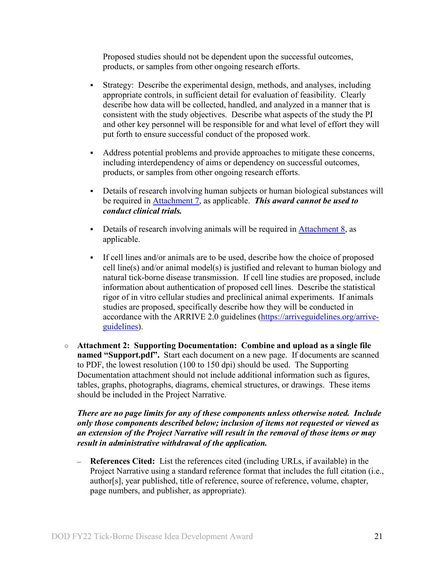Proposed studies should not be dependent upon the successful outcomes, products, or samples from other ongoing research efforts.

- Strategy: Describe the experimental design, methods, and analyses, including appropriate controls, in sufficient detail for evaluation of feasibility. Clearly describe how data will be collected, handled, and analyzed in a manner that is consistent with the study objectives. Describe what aspects of the study the PI and other key personnel will be responsible for and what level of effort they will put forth to ensure successful conduct of the proposed work.
- Address potential problems and provide approaches to mitigate these concerns, including interdependency of aims or dependency on successful outcomes, products, or samples from other ongoing research efforts.
- Details of research involving human subjects or human biological substances will be required in [Attachment 7,](#page-25-0) as applicable. *This award cannot be used to conduct clinical trials.*
- Details of research involving animals will be required in Attachment  $8$ , as applicable.
- If cell lines and/or animals are to be used, describe how the choice of proposed cell line(s) and/or animal model(s) is justified and relevant to human biology and natural tick-borne disease transmission. If cell line studies are proposed, include information about authentication of proposed cell lines. Describe the statistical rigor of in vitro cellular studies and preclinical animal experiments. If animals studies are proposed, specifically describe how they will be conducted in accordance with the ARRIVE 2.0 guidelines [\(https://arriveguidelines.org/arrive](https://arriveguidelines.org/arrive-guidelines)[guidelines\)](https://arriveguidelines.org/arrive-guidelines).
- **Attachment 2: Supporting Documentation: Combine and upload as a single file named "Support.pdf".** Start each document on a new page. If documents are scanned to PDF, the lowest resolution (100 to 150 dpi) should be used. The Supporting Documentation attachment should not include additional information such as figures, tables, graphs, photographs, diagrams, chemical structures, or drawings. These items should be included in the Project Narrative.

#### *There are no page limits for any of these components unless otherwise noted. Include only those components described below; inclusion of items not requested or viewed as an extension of the Project Narrative will result in the removal of those items or may result in administrative withdrawal of the application.*

**References Cited:** List the references cited (including URLs, if available) in the Project Narrative using a standard reference format that includes the full citation (i.e., author[s], year published, title of reference, source of reference, volume, chapter, page numbers, and publisher, as appropriate).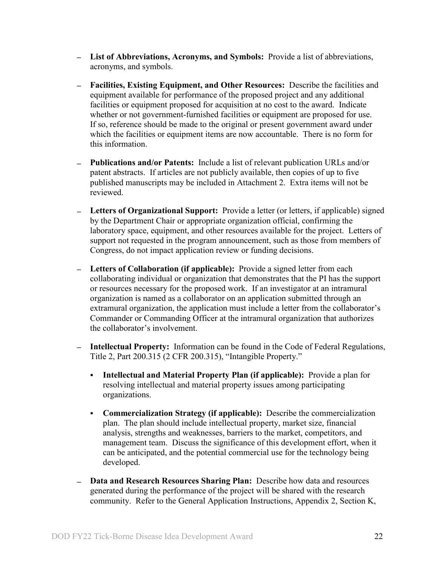- **List of Abbreviations, Acronyms, and Symbols:** Provide a list of abbreviations, acronyms, and symbols.
- **Facilities, Existing Equipment, and Other Resources:** Describe the facilities and equipment available for performance of the proposed project and any additional facilities or equipment proposed for acquisition at no cost to the award. Indicate whether or not government-furnished facilities or equipment are proposed for use. If so, reference should be made to the original or present government award under which the facilities or equipment items are now accountable. There is no form for this information.
- **Publications and/or Patents:** Include a list of relevant publication URLs and/or patent abstracts. If articles are not publicly available, then copies of up to five published manuscripts may be included in Attachment 2. Extra items will not be reviewed.
- **Letters of Organizational Support:** Provide a letter (or letters, if applicable) signed by the Department Chair or appropriate organization official, confirming the laboratory space, equipment, and other resources available for the project. Letters of support not requested in the program announcement, such as those from members of Congress, do not impact application review or funding decisions.
- **Letters of Collaboration (if applicable):** Provide a signed letter from each collaborating individual or organization that demonstrates that the PI has the support or resources necessary for the proposed work. If an investigator at an intramural organization is named as a collaborator on an application submitted through an extramural organization, the application must include a letter from the collaborator's Commander or Commanding Officer at the intramural organization that authorizes the collaborator's involvement.
- **Intellectual Property:** Information can be found in the Code of Federal Regulations, Title 2, Part 200.315 (2 CFR 200.315), "Intangible Property."
	- **Intellectual and Material Property Plan (if applicable):** Provide a plan for resolving intellectual and material property issues among participating organizations.
	- **Commercialization Strategy (if applicable):** Describe the commercialization plan. The plan should include intellectual property, market size, financial analysis, strengths and weaknesses, barriers to the market, competitors, and management team. Discuss the significance of this development effort, when it can be anticipated, and the potential commercial use for the technology being developed.
- **Data and Research Resources Sharing Plan:** Describe how data and resources generated during the performance of the project will be shared with the research community. Refer to the General Application Instructions, Appendix 2, Section K,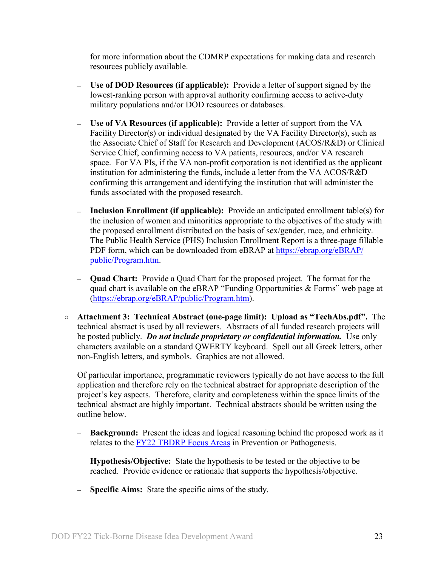for more information about the CDMRP expectations for making data and research resources publicly available.

- **Use of DOD Resources (if applicable):** Provide a letter of support signed by the lowest-ranking person with approval authority confirming access to active-duty military populations and/or DOD resources or databases.
- **Use of VA Resources (if applicable):** Provide a letter of support from the VA Facility Director(s) or individual designated by the VA Facility Director(s), such as the Associate Chief of Staff for Research and Development (ACOS/R&D) or Clinical Service Chief, confirming access to VA patients, resources, and/or VA research space. For VA PIs, if the VA non-profit corporation is not identified as the applicant institution for administering the funds, include a letter from the VA ACOS/R&D confirming this arrangement and identifying the institution that will administer the funds associated with the proposed research.
- **Inclusion Enrollment (if applicable):** Provide an anticipated enrollment table(s) for the inclusion of women and minorities appropriate to the objectives of the study with the proposed enrollment distributed on the basis of sex/gender, race, and ethnicity. The Public Health Service (PHS) Inclusion Enrollment Report is a three-page fillable PDF form, which can be downloaded from eBRAP at [https://ebrap.org/eBRAP/](https://ebrap.org/eBRAP/public/Program.htm) [public/Program.htm.](https://ebrap.org/eBRAP/public/Program.htm)
- **Quad Chart:** Provide a Quad Chart for the proposed project. The format for the quad chart is available on the eBRAP "Funding Opportunities & Forms" web page at [\(https://ebrap.org/eBRAP/public/Program.htm\)](https://ebrap.org/eBRAP/public/Program.htm).
- **Attachment 3: Technical Abstract (one-page limit): Upload as "TechAbs.pdf".** The technical abstract is used by all reviewers. Abstracts of all funded research projects will be posted publicly. *Do not include proprietary or confidential information.* Use only characters available on a standard QWERTY keyboard. Spell out all Greek letters, other non-English letters, and symbols. Graphics are not allowed.

Of particular importance, programmatic reviewers typically do not have access to the full application and therefore rely on the technical abstract for appropriate description of the project's key aspects. Therefore, clarity and completeness within the space limits of the technical abstract are highly important. Technical abstracts should be written using the outline below.

- **Background:** Present the ideas and logical reasoning behind the proposed work as it relates to the [FY22 TBDRP Focus Areas](#page-2-3) in Prevention or Pathogenesis.
- **Hypothesis/Objective:** State the hypothesis to be tested or the objective to be reached. Provide evidence or rationale that supports the hypothesis/objective.
- **Specific Aims:** State the specific aims of the study.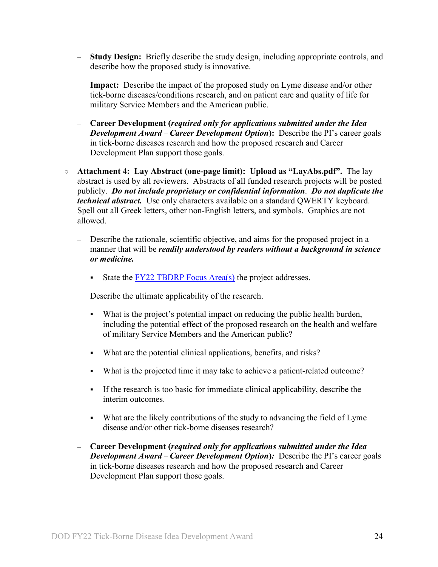- **Study Design:** Briefly describe the study design, including appropriate controls, and describe how the proposed study is innovative.
- **Impact:** Describe the impact of the proposed study on Lyme disease and/or other tick-borne diseases/conditions research, and on patient care and quality of life for military Service Members and the American public.
- **Career Development (***required only for applications submitted under the Idea Development Award – Career Development Option*): Describe the PI's career goals in tick-borne diseases research and how the proposed research and Career Development Plan support those goals.
- **Attachment 4: Lay Abstract (one-page limit): Upload as "LayAbs.pdf".** The lay abstract is used by all reviewers. Abstracts of all funded research projects will be posted publicly. *Do not include proprietary or confidential information*. *Do not duplicate the technical abstract.* Use only characters available on a standard QWERTY keyboard. Spell out all Greek letters, other non-English letters, and symbols. Graphics are not allowed.
	- Describe the rationale, scientific objective, and aims for the proposed project in a manner that will be *readily understood by readers without a background in science or medicine.*
		- State the  $\frac{FY22 \text{ TBDRP Focus Area(s)}}{FY}$  the project addresses.
	- Describe the ultimate applicability of the research.
		- What is the project's potential impact on reducing the public health burden, including the potential effect of the proposed research on the health and welfare of military Service Members and the American public?
		- What are the potential clinical applications, benefits, and risks?
		- What is the projected time it may take to achieve a patient-related outcome?
		- If the research is too basic for immediate clinical applicability, describe the interim outcomes.
		- What are the likely contributions of the study to advancing the field of Lyme disease and/or other tick-borne diseases research?
	- **Career Development (***required only for applications submitted under the Idea Development Award* – *Career Development Option***)***:* Describe the PI's career goals in tick-borne diseases research and how the proposed research and Career Development Plan support those goals.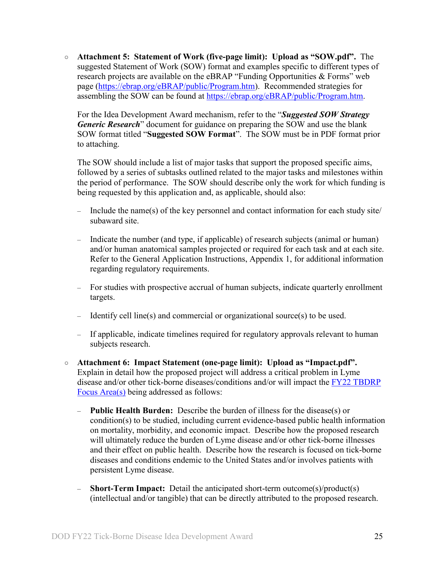○ **Attachment 5: Statement of Work (five-page limit): Upload as "SOW.pdf".** The suggested Statement of Work (SOW) format and examples specific to different types of research projects are available on the eBRAP "Funding Opportunities & Forms" web page [\(https://ebrap.org/eBRAP/public/Program.htm\)](https://ebrap.org/eBRAP/public/Program.htm). Recommended strategies for assembling the SOW can be found at [https://ebrap.org/eBRAP/public/Program.htm.](https://ebrap.org/eBRAP/public/Program.htm)

For the Idea Development Award mechanism, refer to the "*Suggested SOW Strategy Generic Research*" document for guidance on preparing the SOW and use the blank SOW format titled "**Suggested SOW Format**". The SOW must be in PDF format prior to attaching.

The SOW should include a list of major tasks that support the proposed specific aims, followed by a series of subtasks outlined related to the major tasks and milestones within the period of performance. The SOW should describe only the work for which funding is being requested by this application and, as applicable, should also:

- Include the name(s) of the key personnel and contact information for each study site/ subaward site.
- Indicate the number (and type, if applicable) of research subjects (animal or human) and/or human anatomical samples projected or required for each task and at each site. Refer to the General Application Instructions, Appendix 1, for additional information regarding regulatory requirements.
- For studies with prospective accrual of human subjects, indicate quarterly enrollment targets.
- Identify cell line(s) and commercial or organizational source(s) to be used.
- If applicable, indicate timelines required for regulatory approvals relevant to human subjects research.
- **Attachment 6: Impact Statement (one-page limit): Upload as "Impact.pdf".** Explain in detail how the proposed project will address a critical problem in Lyme disease and/or other tick-borne diseases/conditions and/or will impact the FY22 [TBDRP](#page-2-3)  [Focus Area\(s\)](#page-2-3) being addressed as follows:
	- **Public Health Burden:** Describe the burden of illness for the disease(s) or condition(s) to be studied, including current evidence-based public health information on mortality, morbidity, and economic impact. Describe how the proposed research will ultimately reduce the burden of Lyme disease and/or other tick-borne illnesses and their effect on public health. Describe how the research is focused on tick-borne diseases and conditions endemic to the United States and/or involves patients with persistent Lyme disease.
	- **Short-Term Impact:** Detail the anticipated short-term outcome(s)/product(s) (intellectual and/or tangible) that can be directly attributed to the proposed research.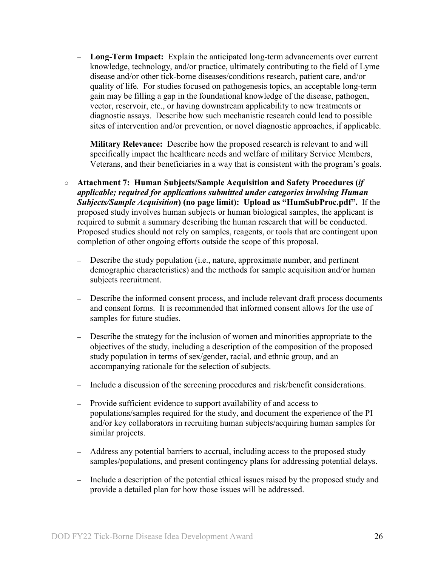- **Long-Term Impact:** Explain the anticipated long-term advancements over current knowledge, technology, and/or practice, ultimately contributing to the field of Lyme disease and/or other tick-borne diseases/conditions research, patient care, and/or quality of life. For studies focused on pathogenesis topics, an acceptable long-term gain may be filling a gap in the foundational knowledge of the disease, pathogen, vector, reservoir, etc., or having downstream applicability to new treatments or diagnostic assays. Describe how such mechanistic research could lead to possible sites of intervention and/or prevention, or novel diagnostic approaches, if applicable.
- **Military Relevance:** Describe how the proposed research is relevant to and will specifically impact the healthcare needs and welfare of military Service Members, Veterans, and their beneficiaries in a way that is consistent with the program's goals.
- <span id="page-25-0"></span>○ **Attachment 7: Human Subjects/Sample Acquisition and Safety Procedures (***if applicable; required for applications submitted under categories involving Human Subjects/Sample Acquisition***) (no page limit): Upload as "HumSubProc.pdf".** If the proposed study involves human subjects or human biological samples, the applicant is required to submit a summary describing the human research that will be conducted. Proposed studies should not rely on samples, reagents, or tools that are contingent upon completion of other ongoing efforts outside the scope of this proposal.
	- **–** Describe the study population (i.e., nature, approximate number, and pertinent demographic characteristics) and the methods for sample acquisition and/or human subjects recruitment.
	- **–** Describe the informed consent process, and include relevant draft process documents and consent forms. It is recommended that informed consent allows for the use of samples for future studies.
	- **–** Describe the strategy for the inclusion of women and minorities appropriate to the objectives of the study, including a description of the composition of the proposed study population in terms of sex/gender, racial, and ethnic group, and an accompanying rationale for the selection of subjects.
	- **–** Include a discussion of the screening procedures and risk/benefit considerations.
	- **–** Provide sufficient evidence to support availability of and access to populations/samples required for the study, and document the experience of the PI and/or key collaborators in recruiting human subjects/acquiring human samples for similar projects.
	- **–** Address any potential barriers to accrual, including access to the proposed study samples/populations, and present contingency plans for addressing potential delays.
	- **–** Include a description of the potential ethical issues raised by the proposed study and provide a detailed plan for how those issues will be addressed.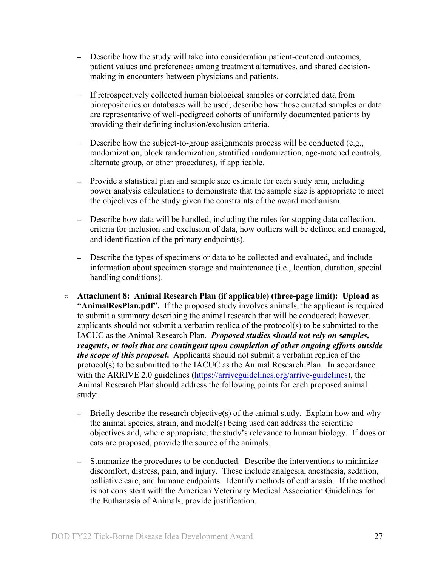- **–** Describe how the study will take into consideration patient-centered outcomes, patient values and preferences among treatment alternatives, and shared decisionmaking in encounters between physicians and patients.
- **–** If retrospectively collected human biological samples or correlated data from biorepositories or databases will be used, describe how those curated samples or data are representative of well-pedigreed cohorts of uniformly documented patients by providing their defining inclusion/exclusion criteria.
- **–** Describe how the subject-to-group assignments process will be conducted (e.g., randomization, block randomization, stratified randomization, age-matched controls, alternate group, or other procedures), if applicable.
- **–** Provide a statistical plan and sample size estimate for each study arm, including power analysis calculations to demonstrate that the sample size is appropriate to meet the objectives of the study given the constraints of the award mechanism.
- **–** Describe how data will be handled, including the rules for stopping data collection, criteria for inclusion and exclusion of data, how outliers will be defined and managed, and identification of the primary endpoint(s).
- **–** Describe the types of specimens or data to be collected and evaluated, and include information about specimen storage and maintenance (i.e., location, duration, special handling conditions).
- <span id="page-26-0"></span>○ **Attachment 8: Animal Research Plan (if applicable) (three-page limit): Upload as "AnimalResPlan.pdf".** If the proposed study involves animals, the applicant is required to submit a summary describing the animal research that will be conducted; however, applicants should not submit a verbatim replica of the protocol(s) to be submitted to the IACUC as the Animal Research Plan. *Proposed studies should not rely on samples, reagents, or tools that are contingent upon completion of other ongoing efforts outside the scope of this proposal***.** Applicants should not submit a verbatim replica of the protocol(s) to be submitted to the IACUC as the Animal Research Plan. In accordance with the ARRIVE 2.0 guidelines [\(https://arriveguidelines.org/arrive-guidelines\)](https://arriveguidelines.org/arrive-guidelines), the Animal Research Plan should address the following points for each proposed animal study:
	- **–** Briefly describe the research objective(s) of the animal study. Explain how and why the animal species, strain, and model(s) being used can address the scientific objectives and, where appropriate, the study's relevance to human biology. If dogs or cats are proposed, provide the source of the animals.
	- **–** Summarize the procedures to be conducted. Describe the interventions to minimize discomfort, distress, pain, and injury. These include analgesia, anesthesia, sedation, palliative care, and humane endpoints. Identify methods of euthanasia. If the method is not consistent with the American Veterinary Medical Association Guidelines for the Euthanasia of Animals, provide justification.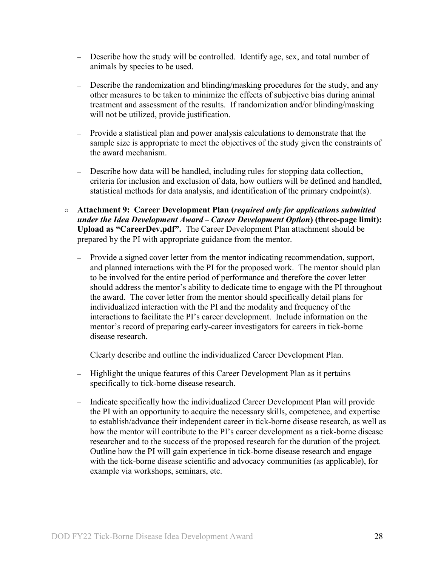- **–** Describe how the study will be controlled. Identify age, sex, and total number of animals by species to be used.
- **–** Describe the randomization and blinding/masking procedures for the study, and any other measures to be taken to minimize the effects of subjective bias during animal treatment and assessment of the results. If randomization and/or blinding/masking will not be utilized, provide justification.
- **–** Provide a statistical plan and power analysis calculations to demonstrate that the sample size is appropriate to meet the objectives of the study given the constraints of the award mechanism.
- **–** Describe how data will be handled, including rules for stopping data collection, criteria for inclusion and exclusion of data, how outliers will be defined and handled, statistical methods for data analysis, and identification of the primary endpoint(s).
- **Attachment 9: Career Development Plan (***required only for applications submitted under the Idea Development Award* – *Career Development Option***) (three-page limit): Upload as "CareerDev.pdf".** The Career Development Plan attachment should be prepared by the PI with appropriate guidance from the mentor.
	- Provide a signed cover letter from the mentor indicating recommendation, support, and planned interactions with the PI for the proposed work. The mentor should plan to be involved for the entire period of performance and therefore the cover letter should address the mentor's ability to dedicate time to engage with the PI throughout the award. The cover letter from the mentor should specifically detail plans for individualized interaction with the PI and the modality and frequency of the interactions to facilitate the PI's career development. Include information on the mentor's record of preparing early-career investigators for careers in tick-borne disease research.
	- Clearly describe and outline the individualized Career Development Plan.
	- Highlight the unique features of this Career Development Plan as it pertains specifically to tick-borne disease research.
	- Indicate specifically how the individualized Career Development Plan will provide the PI with an opportunity to acquire the necessary skills, competence, and expertise to establish/advance their independent career in tick-borne disease research, as well as how the mentor will contribute to the PI's career development as a tick-borne disease researcher and to the success of the proposed research for the duration of the project. Outline how the PI will gain experience in tick-borne disease research and engage with the tick-borne disease scientific and advocacy communities (as applicable), for example via workshops, seminars, etc.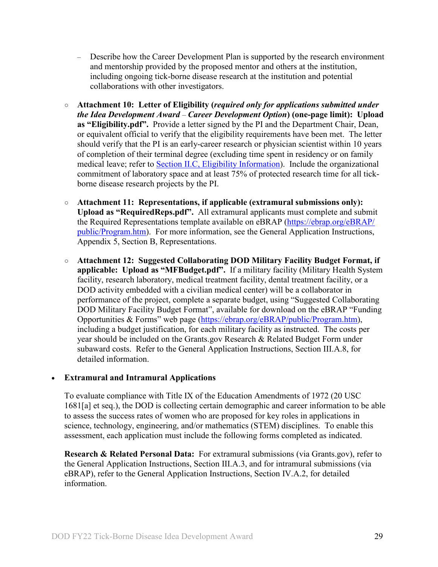- Describe how the Career Development Plan is supported by the research environment and mentorship provided by the proposed mentor and others at the institution, including ongoing tick-borne disease research at the institution and potential collaborations with other investigators.
- **Attachment 10: Letter of Eligibility (***required only for applications submitted under the Idea Development Award* – *Career Development Option***) (one-page limit): Upload as "Eligibility.pdf".** Provide a letter signed by the PI and the Department Chair, Dean, or equivalent official to verify that the eligibility requirements have been met. The letter should verify that the PI is an early-career research or physician scientist within 10 years of completion of their terminal degree (excluding time spent in residency or on family medical leave; refer to Section [II.C, Eligibility Information\)](#page-7-0). Include the organizational commitment of laboratory space and at least 75% of protected research time for all tickborne disease research projects by the PI.
- **Attachment 11: Representations, if applicable (extramural submissions only): Upload as "RequiredReps.pdf".** All extramural applicants must complete and submit the Required Representations template available on eBRAP [\(https://ebrap.org/eBRAP/](https://ebrap.org/eBRAP/public/Program.htm) [public/Program.htm\)](https://ebrap.org/eBRAP/public/Program.htm). For more information, see the General Application Instructions, Appendix 5, Section B, Representations.
- <span id="page-28-1"></span>○ **Attachment 12: Suggested Collaborating DOD Military Facility Budget Format, if applicable: Upload as "MFBudget.pdf".** If a military facility (Military Health System facility, research laboratory, medical treatment facility, dental treatment facility, or a DOD activity embedded with a civilian medical center) will be a collaborator in performance of the project, complete a separate budget, using "Suggested Collaborating DOD Military Facility Budget Format", available for download on the eBRAP "Funding Opportunities & Forms" web page [\(https://ebrap.org/eBRAP/public/Program.htm\)](https://ebrap.org/eBRAP/public/Program.htm), including a budget justification, for each military facility as instructed. The costs per year should be included on the Grants.gov Research & Related Budget Form under subaward costs. Refer to the General Application Instructions, Section III.A.8, for detailed information.

## • **Extramural and Intramural Applications**

To evaluate compliance with Title IX of the Education Amendments of 1972 (20 USC 1681[a] et seq.), the DOD is collecting certain demographic and career information to be able to assess the success rates of women who are proposed for key roles in applications in science, technology, engineering, and/or mathematics (STEM) disciplines. To enable this assessment, each application must include the following forms completed as indicated.

<span id="page-28-0"></span>**Research & Related Personal Data:** For extramural submissions (via Grants.gov), refer to the General Application Instructions, Section III.A.3, and for intramural submissions (via eBRAP), refer to the General Application Instructions, Section IV.A.2, for detailed information.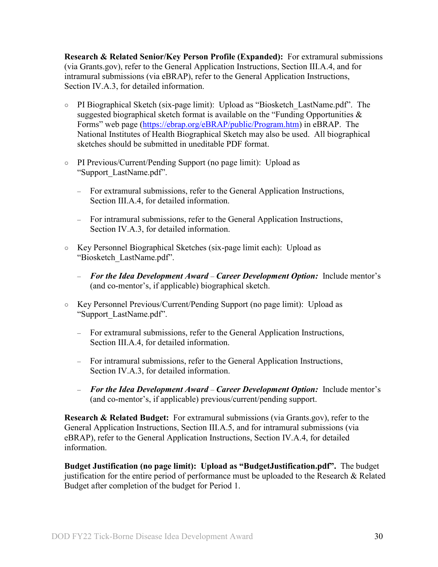<span id="page-29-0"></span>**Research & Related Senior/Key Person Profile (Expanded):** For extramural submissions (via Grants.gov), refer to the General Application Instructions, Section III.A.4, and for intramural submissions (via eBRAP), refer to the General Application Instructions, Section IV.A.3, for detailed information.

- PI Biographical Sketch (six-page limit): Upload as "Biosketch\_LastName.pdf". The suggested biographical sketch format is available on the "Funding Opportunities  $\&$ Forms" web page [\(https://ebrap.org/eBRAP/public/Program.htm\)](https://ebrap.org/eBRAP/public/Program.htm) in eBRAP. The National Institutes of Health Biographical Sketch may also be used. All biographical sketches should be submitted in uneditable PDF format.
- PI Previous/Current/Pending Support (no page limit): Upload as "Support\_LastName.pdf".
	- For extramural submissions, refer to the General Application Instructions, Section III.A.4, for detailed information.
	- For intramural submissions, refer to the General Application Instructions, Section IV.A.3, for detailed information.
- Key Personnel Biographical Sketches (six-page limit each): Upload as "Biosketch\_LastName.pdf".
	- *For the Idea Development Award Career Development Option:* Include mentor's (and co-mentor's, if applicable) biographical sketch.
- Key Personnel Previous/Current/Pending Support (no page limit): Upload as "Support\_LastName.pdf".
	- For extramural submissions, refer to the General Application Instructions, Section III.A.4, for detailed information.
	- For intramural submissions, refer to the General Application Instructions, Section IV.A.3, for detailed information.
	- *For the Idea Development Award Career Development Option:* Include mentor's (and co-mentor's, if applicable) previous/current/pending support.

<span id="page-29-1"></span>**Research & Related Budget:** For extramural submissions (via Grants.gov), refer to the General Application Instructions, Section III.A.5, and for intramural submissions (via eBRAP), refer to the General Application Instructions, Section IV.A.4, for detailed information.

**Budget Justification (no page limit): Upload as "BudgetJustification.pdf".** The budget justification for the entire period of performance must be uploaded to the Research & Related Budget after completion of the budget for Period 1.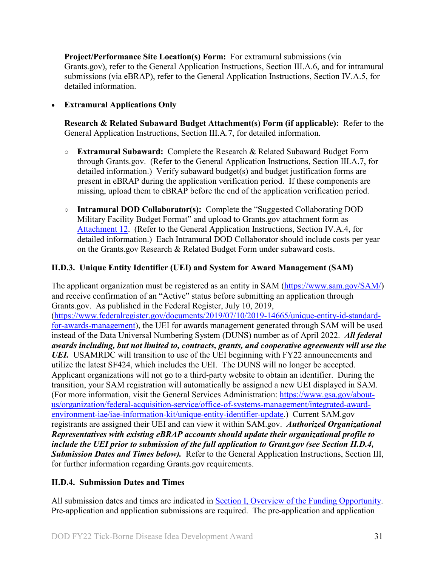<span id="page-30-2"></span>**Project/Performance Site Location(s) Form:** For extramural submissions (via Grants.gov), refer to the General Application Instructions, Section III.A.6, and for intramural submissions (via eBRAP), refer to the General Application Instructions, Section IV.A.5, for detailed information.

## • **Extramural Applications Only**

<span id="page-30-3"></span>**Research & Related Subaward Budget Attachment(s) Form (if applicable):** Refer to the General Application Instructions, Section III.A.7, for detailed information.

- **Extramural Subaward:** Complete the Research & Related Subaward Budget Form through Grants.gov. (Refer to the General Application Instructions, Section III.A.7, for detailed information.) Verify subaward budget(s) and budget justification forms are present in eBRAP during the application verification period. If these components are missing, upload them to eBRAP before the end of the application verification period.
- **Intramural DOD Collaborator(s):** Complete the "Suggested Collaborating DOD Military Facility Budget Format" and upload to Grants.gov attachment form as [Attachment 12.](#page-28-1) (Refer to the General Application Instructions, Section IV.A.4, for detailed information.) Each Intramural DOD Collaborator should include costs per year on the Grants.gov Research & Related Budget Form under subaward costs.

## <span id="page-30-0"></span>**II.D.3. Unique Entity Identifier (UEI) and System for Award Management (SAM)**

The applicant organization must be registered as an entity in SAM (https://www.sam.gov/SAM) and receive confirmation of an "Active" status before submitting an application through Grants.gov. As published in the Federal Register, July 10, 2019, [\(https://www.federalregister.gov/documents/2019/07/10/2019-14665/unique-entity-id-standard](https://www.federalregister.gov/documents/2019/07/10/2019-14665/unique-entity-id-standard-for-awards-management)[for-awards-management\)](https://www.federalregister.gov/documents/2019/07/10/2019-14665/unique-entity-id-standard-for-awards-management), the UEI for awards management generated through SAM will be used instead of the Data Universal Numbering System (DUNS) number as of April 2022. *All federal awards including, but not limited to, contracts, grants, and cooperative agreements will use the UEI.* USAMRDC will transition to use of the UEI beginning with FY22 announcements and utilize the latest SF424, which includes the UEI. The DUNS will no longer be accepted. Applicant organizations will not go to a third-party website to obtain an identifier. During the transition, your SAM registration will automatically be assigned a new UEI displayed in SAM. (For more information, visit the General Services Administration: [https://www.gsa.gov/about](https://www.gsa.gov/about-us/organization/federal-acquisition-service/office-of-systems-management/integrated-award-environment-iae/iae-information-kit/unique-entity-identifier-update)[us/organization/federal-acquisition-service/office-of-systems-management/integrated-award](https://www.gsa.gov/about-us/organization/federal-acquisition-service/office-of-systems-management/integrated-award-environment-iae/iae-information-kit/unique-entity-identifier-update)[environment-iae/iae-information-kit/unique-entity-identifier-update.](https://www.gsa.gov/about-us/organization/federal-acquisition-service/office-of-systems-management/integrated-award-environment-iae/iae-information-kit/unique-entity-identifier-update)) Current SAM.gov registrants are assigned their UEI and can view it within SAM.gov. *Authorized Organizational Representatives with existing eBRAP accounts should update their organizational profile to include the UEI prior to submission of the full application to Grant.gov (see Section II.D.4, Submission Dates and Times below).* Refer to the General Application Instructions, Section III, for further information regarding Grants.gov requirements.

## <span id="page-30-1"></span>**II.D.4. Submission Dates and Times**

All submission dates and times are indicated in [Section I, Overview of the Funding Opportunity.](#page-0-1) Pre-application and application submissions are required. The pre-application and application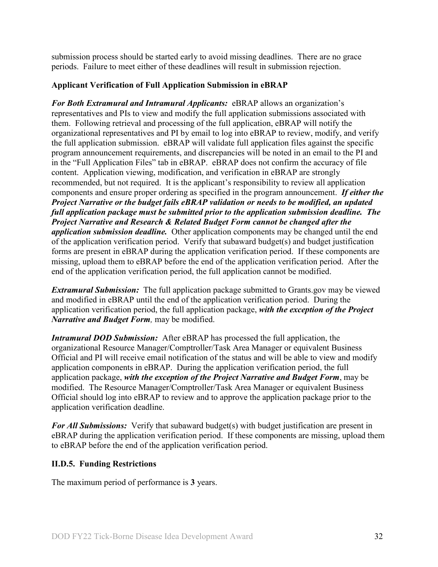submission process should be started early to avoid missing deadlines. There are no grace periods. Failure to meet either of these deadlines will result in submission rejection.

## <span id="page-31-1"></span>**Applicant Verification of Full Application Submission in eBRAP**

*For Both Extramural and Intramural Applicants:* eBRAP allows an organization's representatives and PIs to view and modify the full application submissions associated with them. Following retrieval and processing of the full application, eBRAP will notify the organizational representatives and PI by email to log into eBRAP to review, modify, and verify the full application submission. eBRAP will validate full application files against the specific program announcement requirements, and discrepancies will be noted in an email to the PI and in the "Full Application Files" tab in eBRAP. eBRAP does not confirm the accuracy of file content. Application viewing, modification, and verification in eBRAP are strongly recommended, but not required. It is the applicant's responsibility to review all application components and ensure proper ordering as specified in the program announcement. *If either the Project Narrative or the budget fails eBRAP validation or needs to be modified, an updated full application package must be submitted prior to the application submission deadline. The Project Narrative and Research & Related Budget Form cannot be changed after the application submission deadline.* Other application components may be changed until the end of the [application verification period.](#page-0-0) Verify that subaward budget(s) and budget justification forms are present in eBRAP during the application verification period. If these components are missing, upload them to eBRAP before the end of the application verification period. After the end of the application verification period, the full application cannot be modified.

*Extramural Submission:* The full application package submitted to Grants.gov may be viewed and modified in eBRAP until the end of the application verification period. During the application verification period, the full application package, *with the exception of the Project Narrative and Budget Form,* may be modified.

*Intramural DOD Submission:* After eBRAP has processed the full application, the organizational Resource Manager/Comptroller/Task Area Manager or equivalent Business Official and PI will receive email notification of the status and will be able to view and modify application components in eBRAP. During the application verification period, the full application package, *with the exception of the Project Narrative and Budget Form*, may be modified. The Resource Manager/Comptroller/Task Area Manager or equivalent Business Official should log into eBRAP to review and to approve the application package prior to the application verification deadline.

*For All Submissions:* Verify that subaward budget(s) with budget justification are present in eBRAP during the application verification period. If these components are missing, upload them to eBRAP before the end of the application verification period.

## <span id="page-31-0"></span>**II.D.5. Funding Restrictions**

The maximum period of performance is **3** years.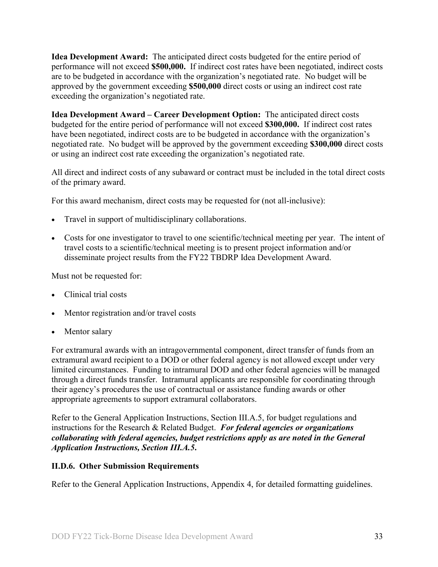**Idea Development Award:** The anticipated direct costs budgeted for the entire period of performance will not exceed **\$500,000.** If indirect cost rates have been negotiated, indirect costs are to be budgeted in accordance with the organization's negotiated rate. No budget will be approved by the government exceeding **\$500,000** direct costs or using an indirect cost rate exceeding the organization's negotiated rate.

**Idea Development Award – Career Development Option:** The anticipated direct costs budgeted for the entire period of performance will not exceed **\$300,000.** If indirect cost rates have been negotiated, indirect costs are to be budgeted in accordance with the organization's negotiated rate. No budget will be approved by the government exceeding **\$300,000** direct costs or using an indirect cost rate exceeding the organization's negotiated rate.

All direct and indirect costs of any subaward or contract must be included in the total direct costs of the primary award.

For this award mechanism, direct costs may be requested for (not all-inclusive):

- Travel in support of multidisciplinary collaborations.
- Costs for one investigator to travel to one scientific/technical meeting per year. The intent of travel costs to a scientific/technical meeting is to present project information and/or disseminate project results from the FY22 TBDRP Idea Development Award.

Must not be requested for:

- Clinical trial costs
- Mentor registration and/or travel costs
- Mentor salary

For extramural awards with an intragovernmental component, direct transfer of funds from an extramural award recipient to a DOD or other federal agency is not allowed except under very limited circumstances. Funding to intramural DOD and other federal agencies will be managed through a direct funds transfer. Intramural applicants are responsible for coordinating through their agency's procedures the use of contractual or assistance funding awards or other appropriate agreements to support extramural collaborators.

Refer to the General Application Instructions, Section III.A.5, for budget regulations and instructions for the Research & Related Budget. *For federal agencies or organizations collaborating with federal agencies, budget restrictions apply as are noted in the General Application Instructions, Section III.A.5***.**

#### <span id="page-32-0"></span>**II.D.6. Other Submission Requirements**

Refer to the General Application Instructions, Appendix 4, for detailed formatting guidelines.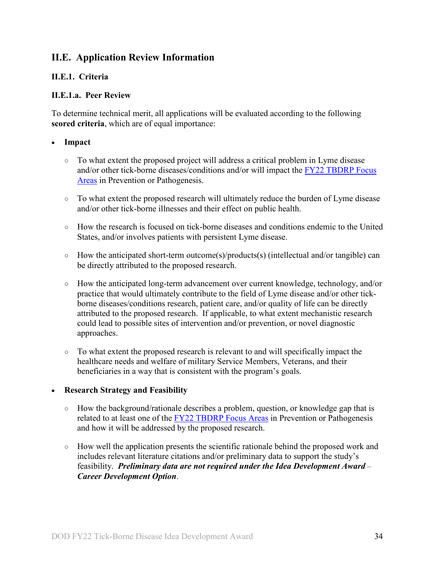## <span id="page-33-0"></span>**II.E. Application Review Information**

## <span id="page-33-1"></span>**II.E.1. Criteria**

### **II.E.1.a. Peer Review**

To determine technical merit, all applications will be evaluated according to the following **scored criteria**, which are of equal importance:

### • **Impact**

- To what extent the proposed project will address a critical problem in Lyme disease and/or other tick-borne diseases/conditions and/or will impact the [FY22 TBDRP Focus](#page-2-3)  [Areas](#page-2-3) in Prevention or Pathogenesis.
- To what extent the proposed research will ultimately reduce the burden of Lyme disease and/or other tick-borne illnesses and their effect on public health.
- $\circ$  How the research is focused on tick-borne diseases and conditions endemic to the United States, and/or involves patients with persistent Lyme disease.
- How the anticipated short-term outcome(s)/products(s) (intellectual and/or tangible) can be directly attributed to the proposed research.
- How the anticipated long-term advancement over current knowledge, technology, and/or practice that would ultimately contribute to the field of Lyme disease and/or other tickborne diseases/conditions research, patient care, and/or quality of life can be directly attributed to the proposed research. If applicable, to what extent mechanistic research could lead to possible sites of intervention and/or prevention, or novel diagnostic approaches.
- To what extent the proposed research is relevant to and will specifically impact the healthcare needs and welfare of military Service Members, Veterans, and their beneficiaries in a way that is consistent with the program's goals.

## • **Research Strategy and Feasibility**

- How the background/rationale describes a problem, question, or knowledge gap that is related to at least one of the [FY22 TBDRP Focus Areas](#page-2-3) in Prevention or Pathogenesis and how it will be addressed by the proposed research.
- How well the application presents the scientific rationale behind the proposed work and includes relevant literature citations and/or preliminary data to support the study's feasibility. *Preliminary data are not required under the Idea Development Award* – *Career Development Option*.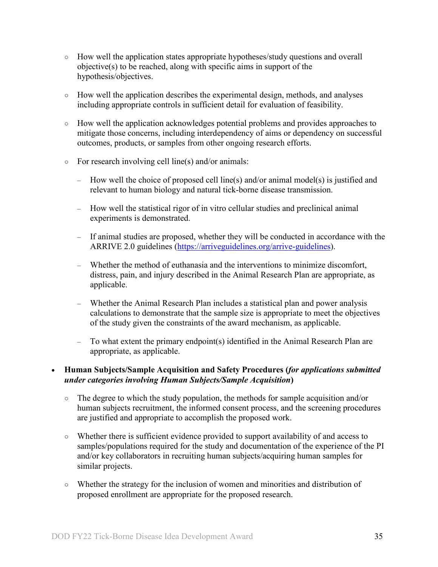- How well the application states appropriate hypotheses/study questions and overall objective(s) to be reached, along with specific aims in support of the hypothesis/objectives.
- How well the application describes the experimental design, methods, and analyses including appropriate controls in sufficient detail for evaluation of feasibility.
- How well the application acknowledges potential problems and provides approaches to mitigate those concerns, including interdependency of aims or dependency on successful outcomes, products, or samples from other ongoing research efforts.
- For research involving cell line(s) and/or animals:
	- How well the choice of proposed cell line(s) and/or animal model(s) is justified and relevant to human biology and natural tick-borne disease transmission.
	- How well the statistical rigor of in vitro cellular studies and preclinical animal experiments is demonstrated.
	- If animal studies are proposed, whether they will be conducted in accordance with the ARRIVE 2.0 guidelines [\(https://arriveguidelines.org/arrive-guidelines\)](https://arriveguidelines.org/arrive-guidelines).
	- Whether the method of euthanasia and the interventions to minimize discomfort, distress, pain, and injury described in the Animal Research Plan are appropriate, as applicable.
	- Whether the Animal Research Plan includes a statistical plan and power analysis calculations to demonstrate that the sample size is appropriate to meet the objectives of the study given the constraints of the award mechanism, as applicable.
	- To what extent the primary endpoint(s) identified in the Animal Research Plan are appropriate, as applicable.

## • **Human Subjects/Sample Acquisition and Safety Procedures (***for applications submitted under categories involving Human Subjects/Sample Acquisition***)**

- The degree to which the study population, the methods for sample acquisition and/or human subjects recruitment, the informed consent process, and the screening procedures are justified and appropriate to accomplish the proposed work.
- Whether there is sufficient evidence provided to support availability of and access to samples/populations required for the study and documentation of the experience of the PI and/or key collaborators in recruiting human subjects/acquiring human samples for similar projects.
- Whether the strategy for the inclusion of women and minorities and distribution of proposed enrollment are appropriate for the proposed research.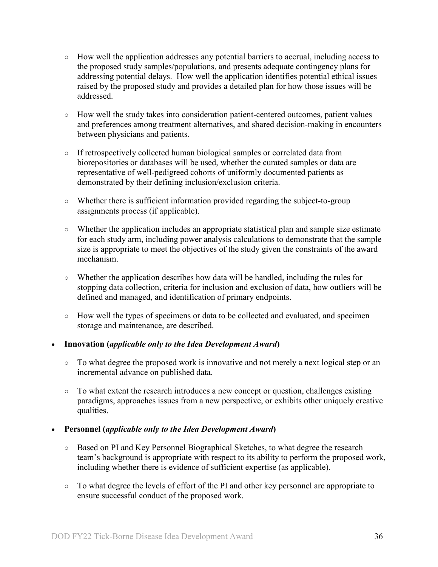- How well the application addresses any potential barriers to accrual, including access to the proposed study samples/populations, and presents adequate contingency plans for addressing potential delays. How well the application identifies potential ethical issues raised by the proposed study and provides a detailed plan for how those issues will be addressed.
- How well the study takes into consideration patient-centered outcomes, patient values and preferences among treatment alternatives, and shared decision-making in encounters between physicians and patients.
- If retrospectively collected human biological samples or correlated data from biorepositories or databases will be used, whether the curated samples or data are representative of well-pedigreed cohorts of uniformly documented patients as demonstrated by their defining inclusion/exclusion criteria.
- Whether there is sufficient information provided regarding the subject-to-group assignments process (if applicable).
- Whether the application includes an appropriate statistical plan and sample size estimate for each study arm, including power analysis calculations to demonstrate that the sample size is appropriate to meet the objectives of the study given the constraints of the award mechanism.
- Whether the application describes how data will be handled, including the rules for stopping data collection, criteria for inclusion and exclusion of data, how outliers will be defined and managed, and identification of primary endpoints.
- How well the types of specimens or data to be collected and evaluated, and specimen storage and maintenance, are described.

## • **Innovation (***applicable only to the Idea Development Award***)**

- To what degree the proposed work is innovative and not merely a next logical step or an incremental advance on published data.
- To what extent the research introduces a new concept or question, challenges existing paradigms, approaches issues from a new perspective, or exhibits other uniquely creative qualities.

## • **Personnel (***applicable only to the Idea Development Award***)**

- Based on PI and Key Personnel Biographical Sketches, to what degree the research team's background is appropriate with respect to its ability to perform the proposed work, including whether there is evidence of sufficient expertise (as applicable).
- To what degree the levels of effort of the PI and other key personnel are appropriate to ensure successful conduct of the proposed work.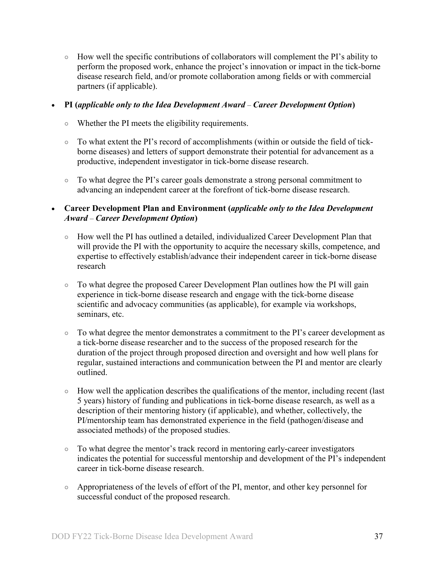$\circ$  How well the specific contributions of collaborators will complement the PI's ability to perform the proposed work, enhance the project's innovation or impact in the tick-borne disease research field, and/or promote collaboration among fields or with commercial partners (if applicable).

### • **PI (***applicable only to the Idea Development Award* – *Career Development Option***)**

- Whether the PI meets the eligibility requirements.
- To what extent the PI's record of accomplishments (within or outside the field of tickborne diseases) and letters of support demonstrate their potential for advancement as a productive, independent investigator in tick-borne disease research.
- To what degree the PI's career goals demonstrate a strong personal commitment to advancing an independent career at the forefront of tick-borne disease research.

## • **Career Development Plan and Environment (***applicable only to the Idea Development Award* – *Career Development Option***)**

- How well the PI has outlined a detailed, individualized Career Development Plan that will provide the PI with the opportunity to acquire the necessary skills, competence, and expertise to effectively establish/advance their independent career in tick-borne disease research
- To what degree the proposed Career Development Plan outlines how the PI will gain experience in tick-borne disease research and engage with the tick-borne disease scientific and advocacy communities (as applicable), for example via workshops, seminars, etc.
- To what degree the mentor demonstrates a commitment to the PI's career development as a tick-borne disease researcher and to the success of the proposed research for the duration of the project through proposed direction and oversight and how well plans for regular, sustained interactions and communication between the PI and mentor are clearly outlined.
- How well the application describes the qualifications of the mentor, including recent (last 5 years) history of funding and publications in tick-borne disease research, as well as a description of their mentoring history (if applicable), and whether, collectively, the PI/mentorship team has demonstrated experience in the field (pathogen/disease and associated methods) of the proposed studies.
- To what degree the mentor's track record in mentoring early-career investigators indicates the potential for successful mentorship and development of the PI's independent career in tick-borne disease research.
- Appropriateness of the levels of effort of the PI, mentor, and other key personnel for successful conduct of the proposed research.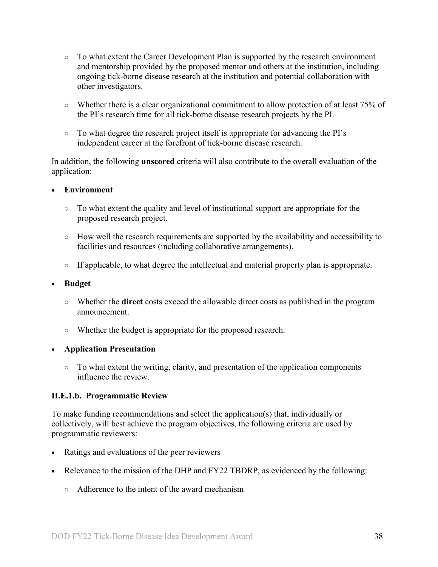- To what extent the Career Development Plan is supported by the research environment and mentorship provided by the proposed mentor and others at the institution, including ongoing tick-borne disease research at the institution and potential collaboration with other investigators.
- Whether there is a clear organizational commitment to allow protection of at least 75% of the PI's research time for all tick-borne disease research projects by the PI.
- To what degree the research project itself is appropriate for advancing the PI's independent career at the forefront of tick-borne disease research.

In addition, the following **unscored** criteria will also contribute to the overall evaluation of the application:

## • **Environment**

- To what extent the quality and level of institutional support are appropriate for the proposed research project.
- How well the research requirements are supported by the availability and accessibility to facilities and resources (including collaborative arrangements).
- If applicable, to what degree the intellectual and material property plan is appropriate.

## • **Budget**

- Whether the **direct** costs exceed the allowable direct costs as published in the program announcement.
- Whether the budget is appropriate for the proposed research.

## • **Application Presentation**

 $\circ$  To what extent the writing, clarity, and presentation of the application components influence the review.

## <span id="page-37-0"></span>**II.E.1.b. Programmatic Review**

To make funding recommendations and select the application(s) that, individually or collectively, will best achieve the program objectives, the following criteria are used by programmatic reviewers:

- Ratings and evaluations of the peer reviewers
- Relevance to the mission of the DHP and FY22 TBDRP, as evidenced by the following:
	- Adherence to the intent of the award mechanism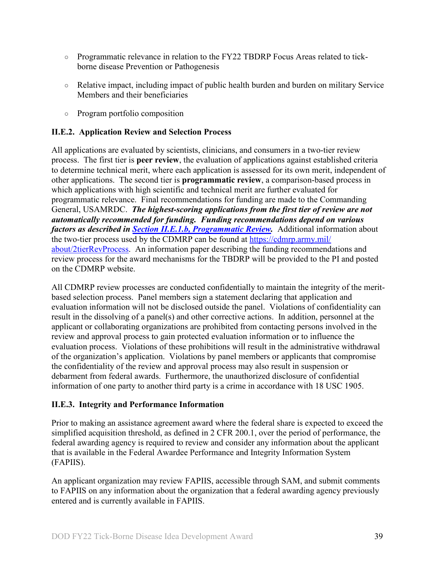- Programmatic relevance in relation to the FY22 TBDRP Focus Areas related to tickborne disease Prevention or Pathogenesis
- Relative impact, including impact of public health burden and burden on military Service Members and their beneficiaries
- Program portfolio composition

## <span id="page-38-0"></span>**II.E.2. Application Review and Selection Process**

All applications are evaluated by scientists, clinicians, and consumers in a two-tier review process. The first tier is **peer review**, the evaluation of applications against established criteria to determine technical merit, where each application is assessed for its own merit, independent of other applications. The second tier is **programmatic review**, a comparison-based process in which applications with high scientific and technical merit are further evaluated for programmatic relevance. Final recommendations for funding are made to the Commanding General, USAMRDC. *The highest-scoring applications from the first tier of review are not automatically recommended for funding. Funding recommendations depend on various factors as described in Section [II.E.1.b, Programmatic Review.](#page-37-0)* Additional information about the two-tier process used by the CDMRP can be found at [https://cdmrp.army.mil/](https://cdmrp.army.mil/about/2tierRevProcess) [about/2tierRevProcess.](https://cdmrp.army.mil/about/2tierRevProcess) An information paper describing the funding recommendations and review process for the award mechanisms for the TBDRP will be provided to the PI and posted on the CDMRP website.

All CDMRP review processes are conducted confidentially to maintain the integrity of the meritbased selection process. Panel members sign a statement declaring that application and evaluation information will not be disclosed outside the panel. Violations of confidentiality can result in the dissolving of a panel(s) and other corrective actions. In addition, personnel at the applicant or collaborating organizations are prohibited from contacting persons involved in the review and approval process to gain protected evaluation information or to influence the evaluation process. Violations of these prohibitions will result in the administrative withdrawal of the organization's application. Violations by panel members or applicants that compromise the confidentiality of the review and approval process may also result in suspension or debarment from federal awards. Furthermore, the unauthorized disclosure of confidential information of one party to another third party is a crime in accordance with 18 USC 1905.

## <span id="page-38-1"></span>**II.E.3. Integrity and Performance Information**

Prior to making an assistance agreement award where the federal share is expected to exceed the simplified acquisition threshold, as defined in 2 CFR 200.1, over the period of performance, the federal awarding agency is required to review and consider any information about the applicant that is available in the Federal Awardee Performance and Integrity Information System (FAPIIS).

An applicant organization may review FAPIIS, accessible through SAM, and submit comments to FAPIIS on any information about the organization that a federal awarding agency previously entered and is currently available in FAPIIS.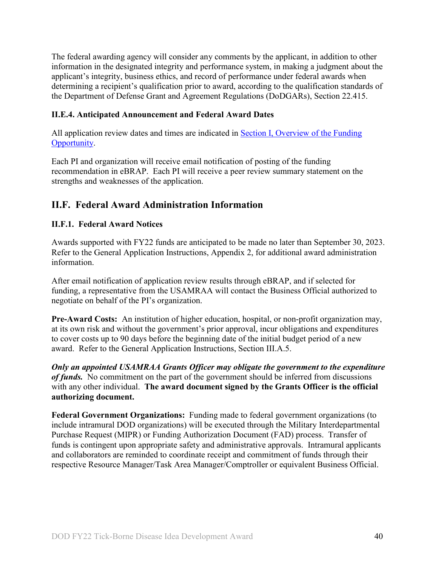The federal awarding agency will consider any comments by the applicant, in addition to other information in the designated integrity and performance system, in making a judgment about the applicant's integrity, business ethics, and record of performance under federal awards when determining a recipient's qualification prior to award, according to the qualification standards of the Department of Defense Grant and Agreement Regulations (DoDGARs), Section 22.415.

## <span id="page-39-0"></span>**II.E.4. Anticipated Announcement and Federal Award Dates**

All application review dates and times are indicated in **Section I**, Overview of the Funding [Opportunity.](#page-0-1)

Each PI and organization will receive email notification of posting of the funding recommendation in eBRAP. Each PI will receive a peer review summary statement on the strengths and weaknesses of the application.

## <span id="page-39-1"></span>**II.F. Federal Award Administration Information**

## <span id="page-39-2"></span>**II.F.1. Federal Award Notices**

Awards supported with FY22 funds are anticipated to be made no later than September 30, 2023. Refer to the General Application Instructions, Appendix 2, for additional award administration information.

After email notification of application review results through eBRAP, and if selected for funding, a representative from the USAMRAA will contact the Business Official authorized to negotiate on behalf of the PI's organization.

**Pre-Award Costs:** An institution of higher education, hospital, or non-profit organization may, at its own risk and without the government's prior approval, incur obligations and expenditures to cover costs up to 90 days before the beginning date of the initial budget period of a new award. Refer to the General Application Instructions, Section III.A.5.

*Only an appointed USAMRAA Grants Officer may obligate the government to the expenditure of funds.* No commitment on the part of the government should be inferred from discussions with any other individual. **The award document signed by the Grants Officer is the official authorizing document.**

**Federal Government Organizations:** Funding made to federal government organizations (to include intramural DOD organizations) will be executed through the Military Interdepartmental Purchase Request (MIPR) or Funding Authorization Document (FAD) process. Transfer of funds is contingent upon appropriate safety and administrative approvals. Intramural applicants and collaborators are reminded to coordinate receipt and commitment of funds through their respective Resource Manager/Task Area Manager/Comptroller or equivalent Business Official.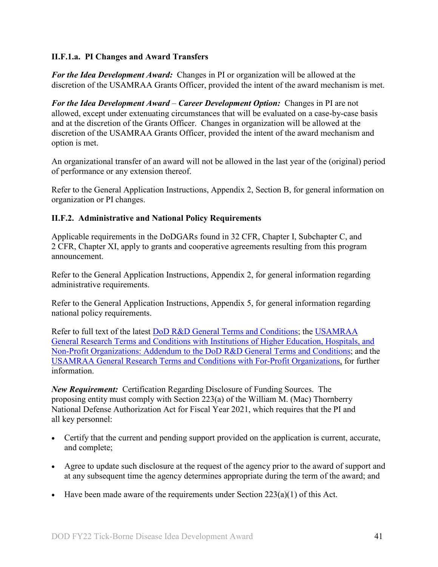## **II.F.1.a. PI Changes and Award Transfers**

*For the Idea Development Award:* Changes in PI or organization will be allowed at the discretion of the USAMRAA Grants Officer, provided the intent of the award mechanism is met.

*For the Idea Development Award* – *Career Development Option:* Changes in PI are not allowed, except under extenuating circumstances that will be evaluated on a case-by-case basis and at the discretion of the Grants Officer. Changes in organization will be allowed at the discretion of the USAMRAA Grants Officer, provided the intent of the award mechanism and option is met.

An organizational transfer of an award will not be allowed in the last year of the (original) period of performance or any extension thereof.

Refer to the General Application Instructions, Appendix 2, Section B, for general information on organization or PI changes.

## <span id="page-40-0"></span>**II.F.2. Administrative and National Policy Requirements**

Applicable requirements in the DoDGARs found in 32 CFR, Chapter I, Subchapter C, and 2 CFR, Chapter XI, apply to grants and cooperative agreements resulting from this program announcement.

Refer to the General Application Instructions, Appendix 2, for general information regarding administrative requirements.

Refer to the General Application Instructions, Appendix 5, for general information regarding national policy requirements.

Refer to full text of the latest [DoD R&D General Terms and Conditions;](https://www.onr.navy.mil/work-with-us/manage-your-award/manage-grant-award/grants-terms-conditions) the [USAMRAA](https://www.usamraa.army.mil/Pages/Resources.aspx)  [General Research Terms and Conditions with Institutions of Higher Education, Hospitals, and](https://www.usamraa.army.mil/Pages/Resources.aspx)  [Non-Profit Organizations: Addendum to the DoD R&D General Terms and Conditions;](https://www.usamraa.army.mil/Pages/Resources.aspx) and the [USAMRAA General Research Terms and Conditions with For-Profit Organizations,](https://www.usamraa.army.mil/Pages/Resources.aspx) for further information.

*New Requirement:* Certification Regarding Disclosure of Funding Sources. The proposing entity must comply with Section 223(a) of the William M. (Mac) Thornberry National Defense Authorization Act for Fiscal Year 2021, which requires that the PI and all key personnel:

- Certify that the current and pending support provided on the application is current, accurate, and complete;
- Agree to update such disclosure at the request of the agency prior to the award of support and at any subsequent time the agency determines appropriate during the term of the award; and
- Have been made aware of the requirements under Section  $223(a)(1)$  of this Act.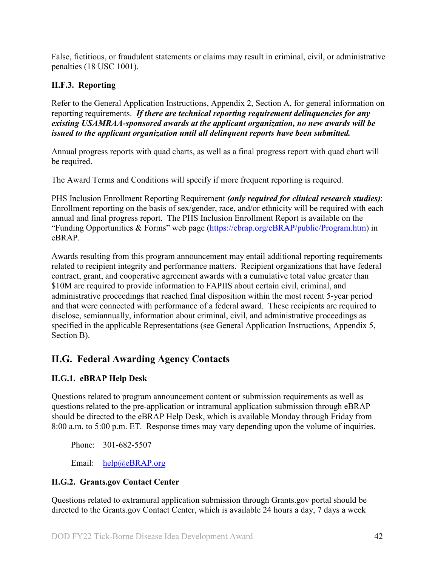False, fictitious, or fraudulent statements or claims may result in criminal, civil, or administrative penalties (18 USC 1001).

## <span id="page-41-0"></span>**II.F.3. Reporting**

Refer to the General Application Instructions, Appendix 2, Section A, for general information on reporting requirements. *If there are technical reporting requirement delinquencies for any existing USAMRAA-sponsored awards at the applicant organization, no new awards will be issued to the applicant organization until all delinquent reports have been submitted.*

Annual progress reports with quad charts, as well as a final progress report with quad chart will be required.

The Award Terms and Conditions will specify if more frequent reporting is required.

PHS Inclusion Enrollment Reporting Requirement *(only required for clinical research studies)*: Enrollment reporting on the basis of sex/gender, race, and/or ethnicity will be required with each annual and final progress report. The PHS Inclusion Enrollment Report is available on the "Funding Opportunities & Forms" web page [\(https://ebrap.org/eBRAP/public/Program.htm\)](https://ebrap.org/eBRAP/public/Program.htm) in eBRAP.

Awards resulting from this program announcement may entail additional reporting requirements related to recipient integrity and performance matters. Recipient organizations that have federal contract, grant, and cooperative agreement awards with a cumulative total value greater than \$10M are required to provide information to FAPIIS about certain civil, criminal, and administrative proceedings that reached final disposition within the most recent 5-year period and that were connected with performance of a federal award. These recipients are required to disclose, semiannually, information about criminal, civil, and administrative proceedings as specified in the applicable Representations (see General Application Instructions, Appendix 5, Section B).

## <span id="page-41-1"></span>**II.G. Federal Awarding Agency Contacts**

## <span id="page-41-2"></span>**II.G.1. eBRAP Help Desk**

Questions related to program announcement content or submission requirements as well as questions related to the pre-application or intramural application submission through eBRAP should be directed to the eBRAP Help Desk, which is available Monday through Friday from 8:00 a.m. to 5:00 p.m. ET. Response times may vary depending upon the volume of inquiries.

Phone: 301-682-5507

Email: [help@eBRAP.org](mailto:help@eBRAP.org)

## <span id="page-41-3"></span>**II.G.2. Grants.gov Contact Center**

Questions related to extramural application submission through Grants.gov portal should be directed to the Grants.gov Contact Center, which is available 24 hours a day, 7 days a week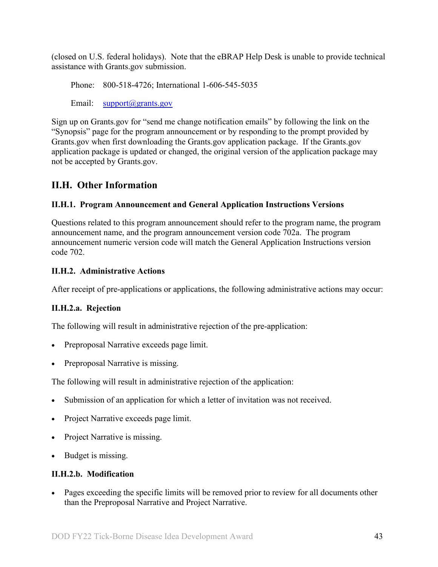(closed on U.S. federal holidays). Note that the eBRAP Help Desk is unable to provide technical assistance with Grants.gov submission.

Phone: 800-518-4726; International 1-606-545-5035

Email: [support@grants.gov](mailto:support@grants.gov)

Sign up on Grants.gov for "send me change notification emails" by following the link on the "Synopsis" page for the program announcement or by responding to the prompt provided by Grants.gov when first downloading the Grants.gov application package. If the Grants.gov application package is updated or changed, the original version of the application package may not be accepted by Grants.gov.

## <span id="page-42-0"></span>**II.H. Other Information**

## <span id="page-42-1"></span>**II.H.1. Program Announcement and General Application Instructions Versions**

Questions related to this program announcement should refer to the program name, the program announcement name, and the program announcement version code 702a. The program announcement numeric version code will match the General Application Instructions version code 702.

## <span id="page-42-2"></span>**II.H.2. Administrative Actions**

After receipt of pre-applications or applications, the following administrative actions may occur:

## **II.H.2.a. Rejection**

The following will result in administrative rejection of the pre-application:

- Preproposal Narrative exceeds page limit.
- Preproposal Narrative is missing.

The following will result in administrative rejection of the application:

- Submission of an application for which a letter of invitation was not received.
- Project Narrative exceeds page limit.
- Project Narrative is missing.
- Budget is missing.

## **II.H.2.b. Modification**

• Pages exceeding the specific limits will be removed prior to review for all documents other than the Preproposal Narrative and Project Narrative.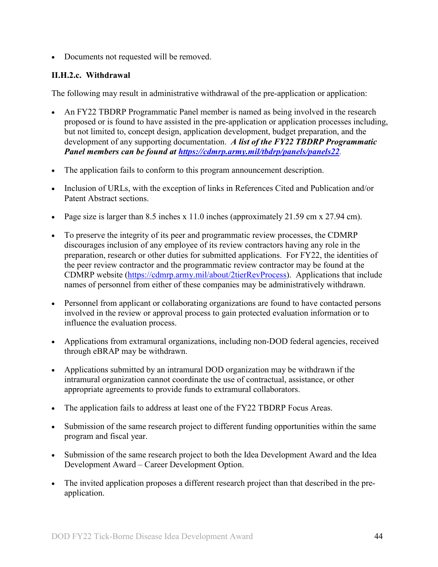• Documents not requested will be removed.

## <span id="page-43-0"></span>**II.H.2.c. Withdrawal**

The following may result in administrative withdrawal of the pre-application or application:

- An FY22 TBDRP Programmatic Panel member is named as being involved in the research proposed or is found to have assisted in the pre-application or application processes including, but not limited to, concept design, application development, budget preparation, and the development of any supporting documentation. *A list of the FY22 TBDRP Programmatic Panel members can be found at<https://cdmrp.army.mil/tbdrp/panels/panels22>.*
- The application fails to conform to this program announcement description.
- Inclusion of URLs, with the exception of links in References Cited and Publication and/or Patent Abstract sections.
- Page size is larger than 8.5 inches x 11.0 inches (approximately 21.59 cm x 27.94 cm).
- To preserve the integrity of its peer and programmatic review processes, the CDMRP discourages inclusion of any employee of its review contractors having any role in the preparation, research or other duties for submitted applications. For FY22, the identities of the peer review contractor and the programmatic review contractor may be found at the CDMRP website [\(https://cdmrp.army.mil/about/2tierRevProcess\)](https://cdmrp.army.mil/about/2tierRevProcess). Applications that include names of personnel from either of these companies may be administratively withdrawn.
- Personnel from applicant or collaborating organizations are found to have contacted persons involved in the review or approval process to gain protected evaluation information or to influence the evaluation process.
- Applications from extramural organizations, including non-DOD federal agencies, received through eBRAP may be withdrawn.
- Applications submitted by an intramural DOD organization may be withdrawn if the intramural organization cannot coordinate the use of contractual, assistance, or other appropriate agreements to provide funds to extramural collaborators.
- The application fails to address at least one of the FY22 TBDRP Focus Areas.
- Submission of the same research project to different funding opportunities within the same program and fiscal year.
- Submission of the same research project to both the Idea Development Award and the Idea Development Award – Career Development Option.
- The invited application proposes a different research project than that described in the preapplication.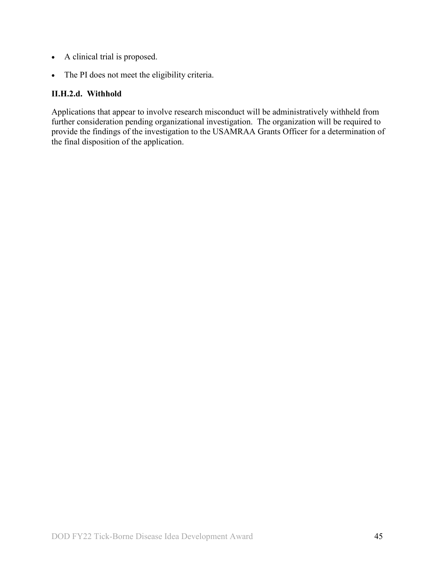- A clinical trial is proposed.
- The PI does not meet the eligibility criteria.

## **II.H.2.d. Withhold**

Applications that appear to involve research misconduct will be administratively withheld from further consideration pending organizational investigation. The organization will be required to provide the findings of the investigation to the USAMRAA Grants Officer for a determination of the final disposition of the application.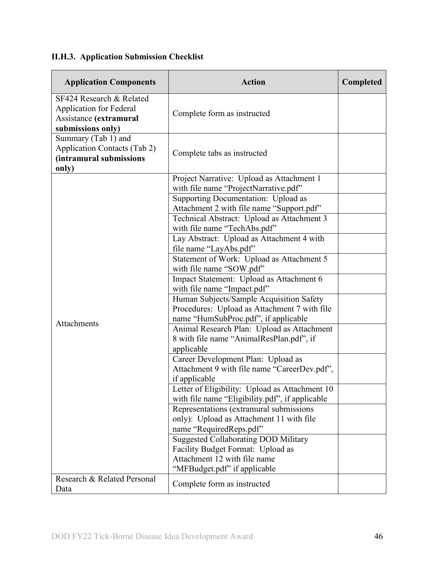# <span id="page-45-0"></span>**II.H.3. Application Submission Checklist**

| <b>Application Components</b>                                                                             | <b>Action</b>                                                                                                                                                                                                                                                                                                                                                                                                                                                                                                                                                                                                                                                                                                                                                                                                                                                                                                                                                                                                                                                                                                                                                                 | Completed |
|-----------------------------------------------------------------------------------------------------------|-------------------------------------------------------------------------------------------------------------------------------------------------------------------------------------------------------------------------------------------------------------------------------------------------------------------------------------------------------------------------------------------------------------------------------------------------------------------------------------------------------------------------------------------------------------------------------------------------------------------------------------------------------------------------------------------------------------------------------------------------------------------------------------------------------------------------------------------------------------------------------------------------------------------------------------------------------------------------------------------------------------------------------------------------------------------------------------------------------------------------------------------------------------------------------|-----------|
| SF424 Research & Related<br><b>Application for Federal</b><br>Assistance (extramural<br>submissions only) | Complete form as instructed                                                                                                                                                                                                                                                                                                                                                                                                                                                                                                                                                                                                                                                                                                                                                                                                                                                                                                                                                                                                                                                                                                                                                   |           |
| Summary (Tab 1) and<br><b>Application Contacts (Tab 2)</b><br>(intramural submissions<br>only)            | Complete tabs as instructed                                                                                                                                                                                                                                                                                                                                                                                                                                                                                                                                                                                                                                                                                                                                                                                                                                                                                                                                                                                                                                                                                                                                                   |           |
| Attachments                                                                                               | Project Narrative: Upload as Attachment 1<br>with file name "ProjectNarrative.pdf"<br>Supporting Documentation: Upload as<br>Attachment 2 with file name "Support.pdf"<br>Technical Abstract: Upload as Attachment 3<br>with file name "TechAbs.pdf"<br>Lay Abstract: Upload as Attachment 4 with<br>file name "LayAbs.pdf"<br>Statement of Work: Upload as Attachment 5<br>with file name "SOW.pdf"<br>Impact Statement: Upload as Attachment 6<br>with file name "Impact.pdf"<br>Human Subjects/Sample Acquisition Safety<br>Procedures: Upload as Attachment 7 with file<br>name "HumSubProc.pdf", if applicable<br>Animal Research Plan: Upload as Attachment<br>8 with file name "AnimalResPlan.pdf", if<br>applicable<br>Career Development Plan: Upload as<br>Attachment 9 with file name "CareerDev.pdf",<br>if applicable<br>Letter of Eligibility: Upload as Attachment 10<br>with file name "Eligibility.pdf", if applicable<br>Representations (extramural submissions<br>only): Upload as Attachment 11 with file<br>name "RequiredReps.pdf"<br><b>Suggested Collaborating DOD Military</b><br>Facility Budget Format: Upload as<br>Attachment 12 with file name |           |
| Research & Related Personal<br>Data                                                                       | "MFBudget.pdf" if applicable<br>Complete form as instructed                                                                                                                                                                                                                                                                                                                                                                                                                                                                                                                                                                                                                                                                                                                                                                                                                                                                                                                                                                                                                                                                                                                   |           |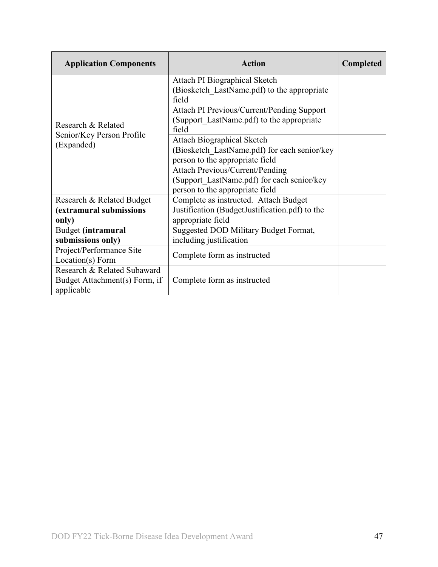| <b>Application Components</b>                                              | <b>Action</b>                                                                                                           | <b>Completed</b> |
|----------------------------------------------------------------------------|-------------------------------------------------------------------------------------------------------------------------|------------------|
|                                                                            | Attach PI Biographical Sketch<br>(Biosketch LastName.pdf) to the appropriate<br>field                                   |                  |
| Research & Related                                                         | Attach PI Previous/Current/Pending Support<br>(Support LastName.pdf) to the appropriate<br>field                        |                  |
| Senior/Key Person Profile<br>(Expanded)                                    | <b>Attach Biographical Sketch</b><br>(Biosketch LastName.pdf) for each senior/key<br>person to the appropriate field    |                  |
|                                                                            | <b>Attach Previous/Current/Pending</b><br>(Support LastName.pdf) for each senior/key<br>person to the appropriate field |                  |
| Research & Related Budget<br>(extramural submissions<br>only)              | Complete as instructed. Attach Budget<br>Justification (BudgetJustification.pdf) to the<br>appropriate field            |                  |
| Budget (intramural<br>submissions only)                                    | Suggested DOD Military Budget Format,<br>including justification                                                        |                  |
| Project/Performance Site<br>Location(s) Form                               | Complete form as instructed                                                                                             |                  |
| Research & Related Subaward<br>Budget Attachment(s) Form, if<br>applicable | Complete form as instructed                                                                                             |                  |